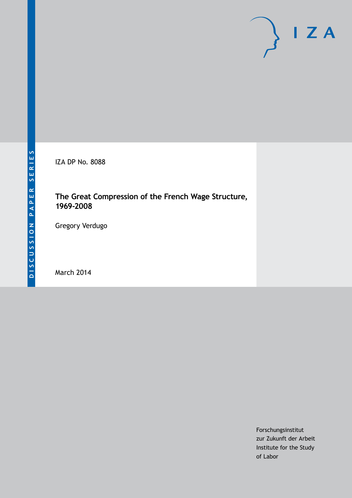IZA DP No. 8088

# **The Great Compression of the French Wage Structure, 1969-2008**

Gregory Verdugo

March 2014

Forschungsinstitut zur Zukunft der Arbeit Institute for the Study of Labor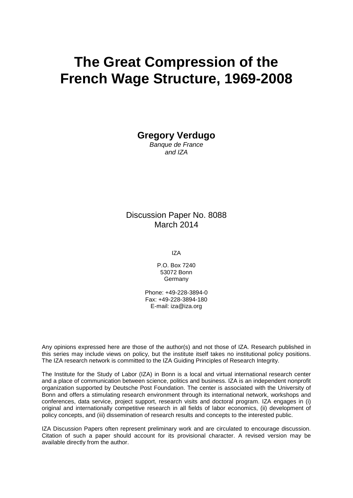# **The Great Compression of the French Wage Structure, 1969-2008**

**Gregory Verdugo**

*Banque de France and IZA*

Discussion Paper No. 8088 March 2014

IZA

P.O. Box 7240 53072 Bonn Germany

Phone: +49-228-3894-0 Fax: +49-228-3894-180 E-mail: [iza@iza.org](mailto:iza@iza.org)

Any opinions expressed here are those of the author(s) and not those of IZA. Research published in this series may include views on policy, but the institute itself takes no institutional policy positions. The IZA research network is committed to the IZA Guiding Principles of Research Integrity.

The Institute for the Study of Labor (IZA) in Bonn is a local and virtual international research center and a place of communication between science, politics and business. IZA is an independent nonprofit organization supported by Deutsche Post Foundation. The center is associated with the University of Bonn and offers a stimulating research environment through its international network, workshops and conferences, data service, project support, research visits and doctoral program. IZA engages in (i) original and internationally competitive research in all fields of labor economics, (ii) development of policy concepts, and (iii) dissemination of research results and concepts to the interested public.

<span id="page-1-0"></span>IZA Discussion Papers often represent preliminary work and are circulated to encourage discussion. Citation of such a paper should account for its provisional character. A revised version may be available directly from the author.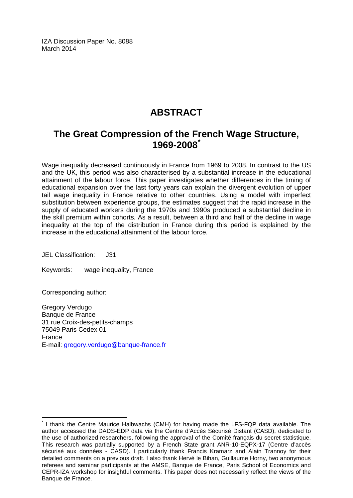IZA Discussion Paper No. 8088 March 2014

# **ABSTRACT**

# **The Great Compression of the French Wage Structure, 1969-2008[\\*](#page-1-0)**

Wage inequality decreased continuously in France from 1969 to 2008. In contrast to the US and the UK, this period was also characterised by a substantial increase in the educational attainment of the labour force. This paper investigates whether differences in the timing of educational expansion over the last forty years can explain the divergent evolution of upper tail wage inequality in France relative to other countries. Using a model with imperfect substitution between experience groups, the estimates suggest that the rapid increase in the supply of educated workers during the 1970s and 1990s produced a substantial decline in the skill premium within cohorts. As a result, between a third and half of the decline in wage inequality at the top of the distribution in France during this period is explained by the increase in the educational attainment of the labour force.

JEL Classification: J31

Keywords: wage inequality, France

Corresponding author:

Gregory Verdugo Banque de France 31 rue Croix-des-petits-champs 75049 Paris Cedex 01 France E-mail: [gregory.verdugo@banque-france.fr](mailto:gregory.verdugo@banque-france.fr)

I thank the Centre Maurice Halbwachs (CMH) for having made the LFS-FQP data available. The author accessed the DADS-EDP data via the Centre d'Accès Sécurisé Distant (CASD), dedicated to the use of authorized researchers, following the approval of the Comité français du secret statistique. This research was partially supported by a French State grant ANR-10-EQPX-17 (Centre d'accès sécurisé aux données - CASD). I particularly thank Francis Kramarz and Alain Trannoy for their detailed comments on a previous draft. I also thank Hervé le Bihan, Guillaume Horny, two anonymous referees and seminar participants at the AMSE, Banque de France, Paris School of Economics and CEPR-IZA workshop for insightful comments. This paper does not necessarily reflect the views of the Banque de France.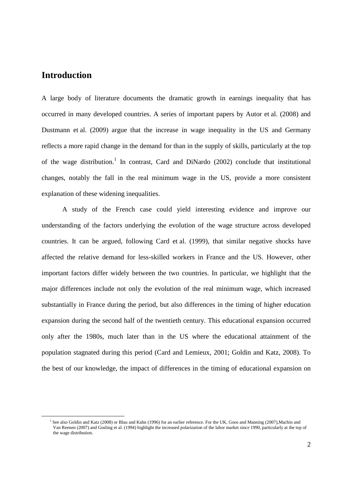### **Introduction**

l

A large body of literature documents the dramatic growth in earnings inequality that has occurred in many developed countries. A series of important papers by Autor et al. (2008) and Dustmann et al. (2009) argue that the increase in wage inequality in the US and Germany reflects a more rapid change in the demand for than in the supply of skills, particularly at the top of the wage distribution.<sup>1</sup> In contrast, Card and DiNardo (2002) conclude that institutional changes, notably the fall in the real minimum wage in the US, provide a more consistent explanation of these widening inequalities.

A study of the French case could yield interesting evidence and improve our understanding of the factors underlying the evolution of the wage structure across developed countries. It can be argued, following Card et al. (1999), that similar negative shocks have affected the relative demand for less-skilled workers in France and the US. However, other important factors differ widely between the two countries. In particular, we highlight that the major differences include not only the evolution of the real minimum wage, which increased substantially in France during the period, but also differences in the timing of higher education expansion during the second half of the twentieth century. This educational expansion occurred only after the 1980s, much later than in the US where the educational attainment of the population stagnated during this period (Card and Lemieux, 2001; Goldin and Katz, 2008). To the best of our knowledge, the impact of differences in the timing of educational expansion on

<sup>&</sup>lt;sup>1</sup> See also Goldin and Katz (2008) or Blau and Kahn (1996) for an earlier reference. For the UK, Goos and Manning (2007), Machin and Van Reenen (2007) and Gosling et al. (1994) highlight the increased polarization of the labor market since 1990, particularly at the top of the wage distribution.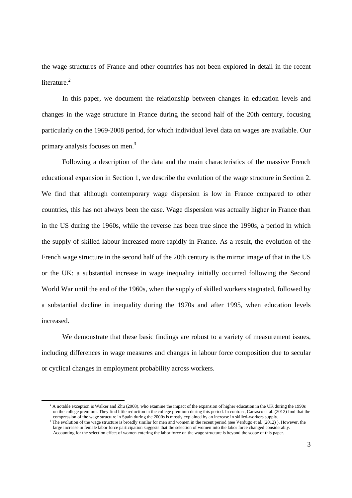the wage structures of France and other countries has not been explored in detail in the recent literature $^2$ 

In this paper, we document the relationship between changes in education levels and changes in the wage structure in France during the second half of the 20th century, focusing particularly on the 1969-2008 period, for which individual level data on wages are available. Our primary analysis focuses on men.<sup>3</sup>

Following a description of the data and the main characteristics of the massive French educational expansion in Section 1, we describe the evolution of the wage structure in Section 2. We find that although contemporary wage dispersion is low in France compared to other countries, this has not always been the case. Wage dispersion was actually higher in France than in the US during the 1960s, while the reverse has been true since the 1990s, a period in which the supply of skilled labour increased more rapidly in France. As a result, the evolution of the French wage structure in the second half of the 20th century is the mirror image of that in the US or the UK: a substantial increase in wage inequality initially occurred following the Second World War until the end of the 1960s, when the supply of skilled workers stagnated, followed by a substantial decline in inequality during the 1970s and after 1995, when education levels increased.

We demonstrate that these basic findings are robust to a variety of measurement issues, including differences in wage measures and changes in labour force composition due to secular or cyclical changes in employment probability across workers.

 $2^2$  A notable exception is Walker and Zhu (2008), who examine the impact of the expansion of higher education in the UK during the 1990s on the college premium. They find little reduction in the college premium during this period. In contrast, Carrasco et al. (2012) find that the compression of the wage structure in Spain during the 2000s is mostly explained by an increase in skilled-workers supply.

 $3$  The evolution of the wage structure is broadly similar for men and women in the recent period (see Verdugo et al. (2012)). However, the large increase in female labor force participation suggests that the selection of women into the labor force changed considerably. Accounting for the selection effect of women entering the labor force on the wage structure is beyond the scope of this paper.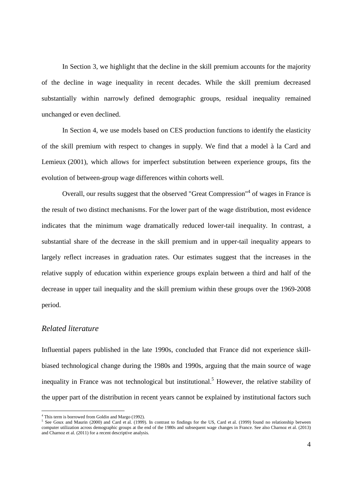In Section 3, we highlight that the decline in the skill premium accounts for the majority of the decline in wage inequality in recent decades. While the skill premium decreased substantially within narrowly defined demographic groups, residual inequality remained unchanged or even declined.

In Section 4, we use models based on CES production functions to identify the elasticity of the skill premium with respect to changes in supply. We find that a model à la Card and Lemieux (2001), which allows for imperfect substitution between experience groups, fits the evolution of between-group wage differences within cohorts well.

Overall, our results suggest that the observed "Great Compression"<sup>4</sup> of wages in France is the result of two distinct mechanisms. For the lower part of the wage distribution, most evidence indicates that the minimum wage dramatically reduced lower-tail inequality. In contrast, a substantial share of the decrease in the skill premium and in upper-tail inequality appears to largely reflect increases in graduation rates. Our estimates suggest that the increases in the relative supply of education within experience groups explain between a third and half of the decrease in upper tail inequality and the skill premium within these groups over the 1969-2008 period.

#### *Related literature*

Influential papers published in the late 1990s, concluded that France did not experience skillbiased technological change during the 1980s and 1990s, arguing that the main source of wage inequality in France was not technological but institutional.<sup>5</sup> However, the relative stability of the upper part of the distribution in recent years cannot be explained by institutional factors such

 4 This term is borrowed from Goldin and Margo (1992).

 $5$  See Goux and Maurin (2000) and Card et al. (1999). In contrast to findings for the US, Card et al. (1999) found no relationship between computer utilization across demographic groups at the end of the 1980s and subsequent wage changes in France. See also Charnoz et al. (2013) and Charnoz et al. (2011) for a recent descriptive analysis.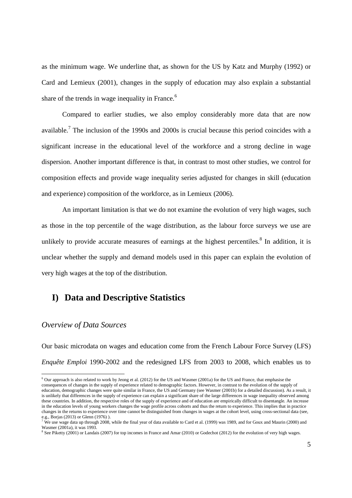as the minimum wage. We underline that, as shown for the US by Katz and Murphy (1992) or Card and Lemieux (2001), changes in the supply of education may also explain a substantial share of the trends in wage inequality in France.<sup>6</sup>

Compared to earlier studies, we also employ considerably more data that are now available.<sup>7</sup> The inclusion of the 1990s and 2000s is crucial because this period coincides with a significant increase in the educational level of the workforce and a strong decline in wage dispersion. Another important difference is that, in contrast to most other studies, we control for composition effects and provide wage inequality series adjusted for changes in skill (education and experience) composition of the workforce, as in Lemieux (2006).

An important limitation is that we do not examine the evolution of very high wages, such as those in the top percentile of the wage distribution, as the labour force surveys we use are unlikely to provide accurate measures of earnings at the highest percentiles.<sup>8</sup> In addition, it is unclear whether the supply and demand models used in this paper can explain the evolution of very high wages at the top of the distribution.

## **I) Data and Descriptive Statistics**

### *Overview of Data Sources*

Our basic microdata on wages and education come from the French Labour Force Survey (LFS) *Enquête Emploi* 1990-2002 and the redesigned LFS from 2003 to 2008, which enables us to

<sup>&</sup>lt;sup>6</sup> Our approach is also related to work by Jeong et al. (2012) for the US and Wasmer (2001a) for the US and France, that emphasise the consequences of changes in the supply of experience related to demographic factors. However, in contrast to the evolution of the supply of education, demographic changes were quite similar in France, the US and Germany (see Wasmer (2001b) for a detailed discussion). As a result, it is unlikely that differences in the supply of experience can explain a significant share of the large differences in wage inequality observed among these countries. In addition, the respective roles of the supply of experience and of education are empirically difficult to disentangle. An increase in the education levels of young workers changes the wage profile across cohorts and thus the return to experience. This implies that in practice changes in the returns to experience over time cannot be distinguished from changes in wages at the cohort level, using cross-sectional data (see, e.g., Borjas (2013) or Glenn (1976)).<br><sup>7</sup> We use wase data up through 2008

We use wage data up through 2008, while the final year of data available to Card et al. (1999) was 1989, and for Goux and Maurin (2000) and Wasmer (2001a), it was 1993.

<sup>&</sup>lt;sup>8</sup> See Piketty (2001) or Landais (2007) for top incomes in France and Amar (2010) or Godechot (2012) for the evolution of very high wages.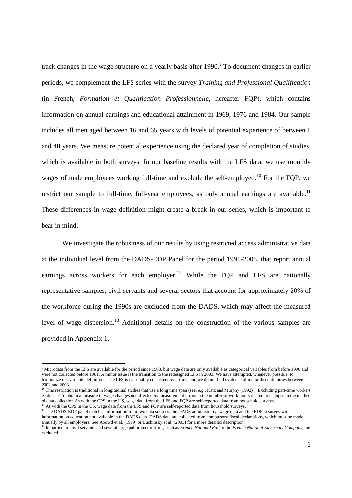track changes in the wage structure on a yearly basis after 1990.<sup>9</sup> To document changes in earlier periods, we complement the LFS series with the survey *Training and Professional Qualification* (in French, *Formation et Qualification Professionnelle*, hereafter FQP), which contains information on annual earnings and educational attainment in 1969, 1976 and 1984. Our sample includes all men aged between 16 and 65 years with levels of potential experience of between 1 and 40 years. We measure potential experience using the declared year of completion of studies, which is available in both surveys. In our baseline results with the LFS data, we use monthly wages of male employees working full-time and exclude the self-employed.<sup>10</sup> For the FOP, we restrict our sample to full-time, full-year employees, as only annual earnings are available.<sup>11</sup> These differences in wage definition might create a break in our series, which is important to bear in mind.

We investigate the robustness of our results by using restricted access administrative data at the individual level from the DADS-EDP Panel for the period 1991-2008, that report annual earnings across workers for each employer.<sup>12</sup> While the FQP and LFS are nationally representative samples, civil servants and several sectors that account for approximately 20% of the workforce during the 1990s are excluded from the DADS, which may affect the measured level of wage dispersion.<sup>13</sup> Additional details on the construction of the various samples are provided in Appendix 1.

l

<sup>&</sup>lt;sup>9</sup> Microdata from the LFS are available for the period since 1968, but wage data are only available as categorical variables from before 1990 and were not collected before 1981. A minor issue is the transition to the redesigned LFS in 2003. We have attempted, whenever possible, to harmonize our variable definitions. The LFS is reasonably consistent over time, and we do not find evidence of major discontinuities between

<sup>2002</sup> and 2003.<br><sup>10</sup> This restriction is traditional in longitudinal studies that use a long time span (see, e.g., Katz and Murphy (1992) ). Excluding part-time workers enables us to obtain a measure of wage changes not affected by measurement errors in the number of work hours related to changes in the method of data collection.As with the CPS in the US, wage data from the LFS and FQP are self-reported data from household surveys. As with the CPS in the US, wage data from the LFS and FQP are self-reported data from household surveys.

<sup>&</sup>lt;sup>12</sup> The DADS-EDP panel matches information from two data sources: the DADS administrative wage data and the EDP, a survey with

information on education not available in the DADS data. DADS data are collected from compulsory fiscal declarations, which must be made annually by all employers. See Abowd et al. (1999) or Buchinsky et al. (2003) for a more detailed description.<br><sup>13</sup> In particular, civil servants and several large public sector firms, such as *French National Rail* or the

excluded.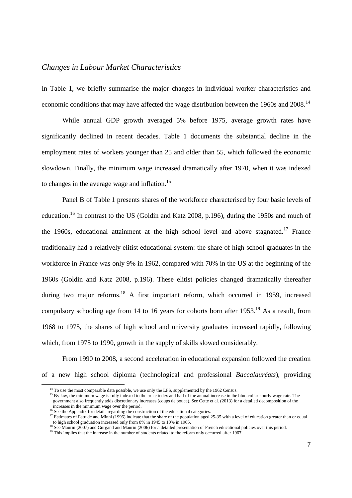### *Changes in Labour Market Characteristics*

In Table 1, we briefly summarise the major changes in individual worker characteristics and economic conditions that may have affected the wage distribution between the 1960s and 2008.<sup>14</sup>

While annual GDP growth averaged 5% before 1975, average growth rates have significantly declined in recent decades. Table 1 documents the substantial decline in the employment rates of workers younger than 25 and older than 55, which followed the economic slowdown. Finally, the minimum wage increased dramatically after 1970, when it was indexed to changes in the average wage and inflation.<sup>15</sup>

Panel B of Table 1 presents shares of the workforce characterised by four basic levels of education.<sup>16</sup> In contrast to the US (Goldin and Katz 2008, p.196), during the 1950s and much of the 1960s, educational attainment at the high school level and above stagnated.<sup>17</sup> France traditionally had a relatively elitist educational system: the share of high school graduates in the workforce in France was only 9% in 1962, compared with 70% in the US at the beginning of the 1960s (Goldin and Katz 2008, p.196). These elitist policies changed dramatically thereafter during two major reforms.<sup>18</sup> A first important reform, which occurred in 1959, increased compulsory schooling age from 14 to 16 years for cohorts born after  $1953$ .<sup>19</sup> As a result, from 1968 to 1975, the shares of high school and university graduates increased rapidly, following which, from 1975 to 1990, growth in the supply of skills slowed considerably.

From 1990 to 2008, a second acceleration in educational expansion followed the creation of a new high school diploma (technological and professional *Baccalauréats*), providing

l

<sup>&</sup>lt;sup>14</sup> To use the most comparable data possible, we use only the LFS, supplemented by the 1962 Census.

<sup>&</sup>lt;sup>15</sup> By law, the minimum wage is fully indexed to the price index and half of the annual increase in the blue-collar hourly wage rate. The government also frequently adds discretionary increases (coups de pouce). See Cette et al. (2013) for a detailed decomposition of the increases in the minimum wage over the period. <sup>16</sup> See the Appendix for details regarding the construction of the educational categories.

<sup>&</sup>lt;sup>17</sup> Estimates of Estrade and Minni (1996) indicate that the share of the population aged 25-35 with a level of education greater than or equal to high school graduation increased only from 8% in 1945 to 10% in 1965.

<sup>&</sup>lt;sup>18</sup> See Maurin (2007) and Gurgand and Maurin (2006) for a detailed presentation of French educational policies over this period.

<sup>&</sup>lt;sup>19</sup> This implies that the increase in the number of students related to the reform only occurred after 1967.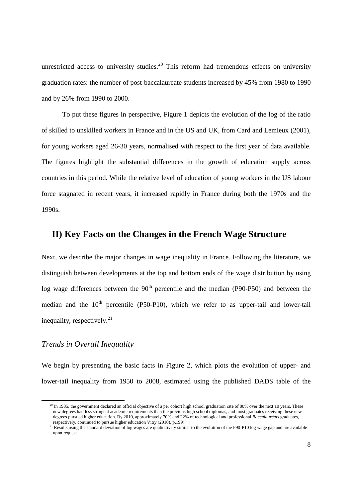unrestricted access to university studies.<sup>20</sup> This reform had tremendous effects on university graduation rates: the number of post-baccalaureate students increased by 45% from 1980 to 1990 and by 26% from 1990 to 2000.

To put these figures in perspective, Figure 1 depicts the evolution of the log of the ratio of skilled to unskilled workers in France and in the US and UK, from Card and Lemieux (2001), for young workers aged 26-30 years, normalised with respect to the first year of data available. The figures highlight the substantial differences in the growth of education supply across countries in this period. While the relative level of education of young workers in the US labour force stagnated in recent years, it increased rapidly in France during both the 1970s and the 1990s.

## **II) Key Facts on the Changes in the French Wage Structure**

Next, we describe the major changes in wage inequality in France. Following the literature, we distinguish between developments at the top and bottom ends of the wage distribution by using log wage differences between the  $90<sup>th</sup>$  percentile and the median (P90-P50) and between the median and the  $10<sup>th</sup>$  percentile (P50-P10), which we refer to as upper-tail and lower-tail inequality, respectively. $^{21}$ 

### *Trends in Overall Inequality*

We begin by presenting the basic facts in Figure 2, which plots the evolution of upper- and lower-tail inequality from 1950 to 2008, estimated using the published DADS table of the

<sup>&</sup>lt;sup>20</sup> In 1985, the government declared an official objective of a per cohort high school graduation rate of 80% over the next 10 years. These new degrees had less stringent academic requirements than the previous high school diplomas, and most graduates receiving these new degrees pursued higher education. By 2010, approximately 70% and 22% of technological and professional *Baccalauréats* graduates, respectively, continued to pursue higher education Vitry (2010), p.199).

<sup>&</sup>lt;sup>21</sup> Results using the standard deviation of log wages are qualitatively similar to the evolution of the P90-P10 log wage gap and are available upon request.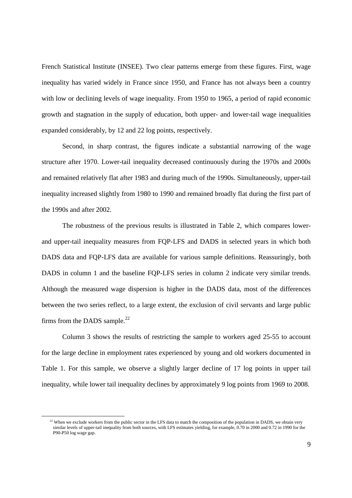French Statistical Institute (INSEE). Two clear patterns emerge from these figures. First, wage inequality has varied widely in France since 1950, and France has not always been a country with low or declining levels of wage inequality. From 1950 to 1965, a period of rapid economic growth and stagnation in the supply of education, both upper- and lower-tail wage inequalities expanded considerably, by 12 and 22 log points, respectively.

Second, in sharp contrast, the figures indicate a substantial narrowing of the wage structure after 1970. Lower-tail inequality decreased continuously during the 1970s and 2000s and remained relatively flat after 1983 and during much of the 1990s. Simultaneously, upper-tail inequality increased slightly from 1980 to 1990 and remained broadly flat during the first part of the 1990s and after 2002.

The robustness of the previous results is illustrated in Table 2, which compares lowerand upper-tail inequality measures from FQP-LFS and DADS in selected years in which both DADS data and FQP-LFS data are available for various sample definitions. Reassuringly, both DADS in column 1 and the baseline FQP-LFS series in column 2 indicate very similar trends. Although the measured wage dispersion is higher in the DADS data, most of the differences between the two series reflect, to a large extent, the exclusion of civil servants and large public firms from the DADS sample. $^{22}$ 

Column 3 shows the results of restricting the sample to workers aged 25-55 to account for the large decline in employment rates experienced by young and old workers documented in Table 1. For this sample, we observe a slightly larger decline of 17 log points in upper tail inequality, while lower tail inequality declines by approximately 9 log points from 1969 to 2008.

l

 $22$  When we exclude workers from the public sector in the LFS data to match the composition of the population in DADS, we obtain very similar levels of upper-tail inequality from both sources, with LFS estimates yielding, for example, 0.70 in 2000 and 0.72 in 1990 for the P90-P50 log wage gap.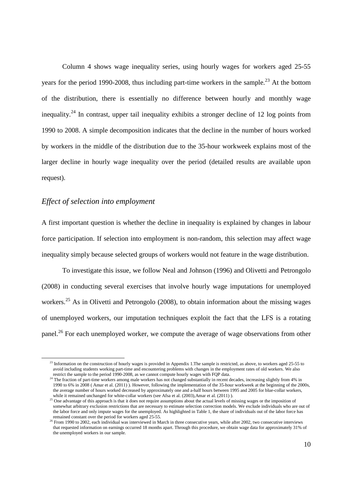Column 4 shows wage inequality series, using hourly wages for workers aged 25-55 years for the period 1990-2008, thus including part-time workers in the sample.<sup>23</sup> At the bottom of the distribution, there is essentially no difference between hourly and monthly wage inequality.<sup>24</sup> In contrast, upper tail inequality exhibits a stronger decline of 12 log points from 1990 to 2008. A simple decomposition indicates that the decline in the number of hours worked by workers in the middle of the distribution due to the 35-hour workweek explains most of the larger decline in hourly wage inequality over the period (detailed results are available upon request).

#### *Effect of selection into employment*

A first important question is whether the decline in inequality is explained by changes in labour force participation. If selection into employment is non-random, this selection may affect wage inequality simply because selected groups of workers would not feature in the wage distribution.

To investigate this issue, we follow Neal and Johnson (1996) and Olivetti and Petrongolo (2008) in conducting several exercises that involve hourly wage imputations for unemployed workers.<sup>25</sup> As in Olivetti and Petrongolo (2008), to obtain information about the missing wages of unemployed workers, our imputation techniques exploit the fact that the LFS is a rotating panel.<sup>26</sup> For each unemployed worker, we compute the average of wage observations from other

 $^{23}$  Information on the construction of hourly wages is provided in Appendix 1.The sample is restricted, as above, to workers aged 25-55 to avoid including students working part-time and encountering problems with changes in the employment rates of old workers. We also restrict the sample to the period 1990-2008, as we cannot compute hourly wages with FQP data.

<sup>&</sup>lt;sup>24</sup> The fraction of part-time workers among male workers has not changed substantially in recent decades, increasing slightly from 4% in 1990 to 6% in 2008 ( Amar et al. (2011) ). However, following the implementation of the 35-hour workweek at the beginning of the 2000s, the average number of hours worked decreased by approximately one and a-half hours between 1995 and 2005 for blue-collar workers,

while it remained unchanged for white-collar workers (see Afsa et al.  $(2003)$ , Amar et al.  $(2011)$ ).<br><sup>25</sup> One advantage of this approach is that it does not require assumptions about the actual levels of missing wages o somewhat arbitrary exclusion restrictions that are necessary to estimate selection correction models. We exclude individuals who are out of the labor force and only impute wages for the unemployed. As highlighted in Table 1, the share of individuals out of the labor force has remained constant over the period for workers aged 25-55.

<sup>&</sup>lt;sup>26</sup> From 1990 to 2002, each individual was interviewed in March in three consecutive years, while after 2002, two consecutive interviews that requested information on earnings occurred 18 months apart. Through this procedure, we obtain wage data for approximately 31% of the unemployed workers in our sample.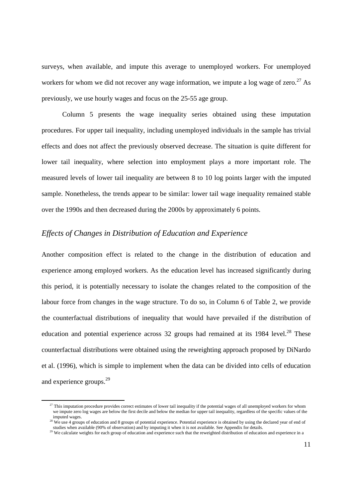surveys, when available, and impute this average to unemployed workers. For unemployed workers for whom we did not recover any wage information, we impute a log wage of zero.<sup>27</sup> As previously, we use hourly wages and focus on the 25-55 age group.

Column 5 presents the wage inequality series obtained using these imputation procedures. For upper tail inequality, including unemployed individuals in the sample has trivial effects and does not affect the previously observed decrease. The situation is quite different for lower tail inequality, where selection into employment plays a more important role. The measured levels of lower tail inequality are between 8 to 10 log points larger with the imputed sample. Nonetheless, the trends appear to be similar: lower tail wage inequality remained stable over the 1990s and then decreased during the 2000s by approximately 6 points.

### *Effects of Changes in Distribution of Education and Experience*

Another composition effect is related to the change in the distribution of education and experience among employed workers. As the education level has increased significantly during this period, it is potentially necessary to isolate the changes related to the composition of the labour force from changes in the wage structure. To do so, in Column 6 of Table 2, we provide the counterfactual distributions of inequality that would have prevailed if the distribution of education and potential experience across 32 groups had remained at its 1984 level.<sup>28</sup> These counterfactual distributions were obtained using the reweighting approach proposed by DiNardo et al. (1996), which is simple to implement when the data can be divided into cells of education and experience groups.<sup>29</sup>

<sup>&</sup>lt;sup>27</sup> This imputation procedure provides correct estimates of lower tail inequality if the potential wages of all unemployed workers for whom we impute zero log wages are below the first decile and below the median for upper tail inequality, regardless of the specific values of the imputed wages.

<sup>&</sup>lt;sup>28</sup> We use 4 groups of education and 8 groups of potential experience. Potential experience is obtained by using the declared year of end of

studies when available (90% of observation) and by imputing it when it is not available. See Appendix for details.<br><sup>29</sup> We calculate weights for each group of education and experience such that the reweighted distribution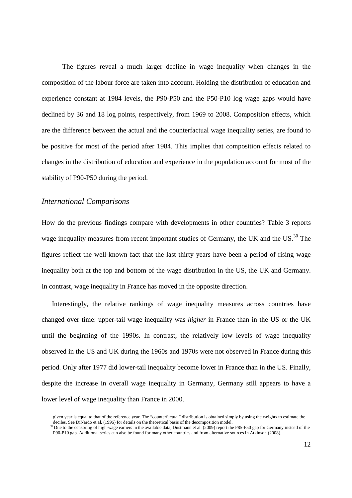The figures reveal a much larger decline in wage inequality when changes in the composition of the labour force are taken into account. Holding the distribution of education and experience constant at 1984 levels, the P90-P50 and the P50-P10 log wage gaps would have declined by 36 and 18 log points, respectively, from 1969 to 2008. Composition effects, which are the difference between the actual and the counterfactual wage inequality series, are found to be positive for most of the period after 1984. This implies that composition effects related to changes in the distribution of education and experience in the population account for most of the stability of P90-P50 during the period.

### *International Comparisons*

l

How do the previous findings compare with developments in other countries? Table 3 reports wage inequality measures from recent important studies of Germany, the UK and the US.<sup>30</sup> The figures reflect the well-known fact that the last thirty years have been a period of rising wage inequality both at the top and bottom of the wage distribution in the US, the UK and Germany. In contrast, wage inequality in France has moved in the opposite direction.

Interestingly, the relative rankings of wage inequality measures across countries have changed over time: upper-tail wage inequality was *higher* in France than in the US or the UK until the beginning of the 1990s. In contrast, the relatively low levels of wage inequality observed in the US and UK during the 1960s and 1970s were not observed in France during this period. Only after 1977 did lower-tail inequality become lower in France than in the US. Finally, despite the increase in overall wage inequality in Germany, Germany still appears to have a lower level of wage inequality than France in 2000.

given year is equal to that of the reference year. The "counterfactual" distribution is obtained simply by using the weights to estimate the deciles. See DiNardo et al. (1996) for details on the theoretical basis of the decomposition model.

Due to the censoring of high-wage earners in the available data, Dustmann et al. (2009) report the P85-P50 gap for Germany instead of the P90-P10 gap. Additional series can also be found for many other countries and from alternative sources in Atkinson (2008).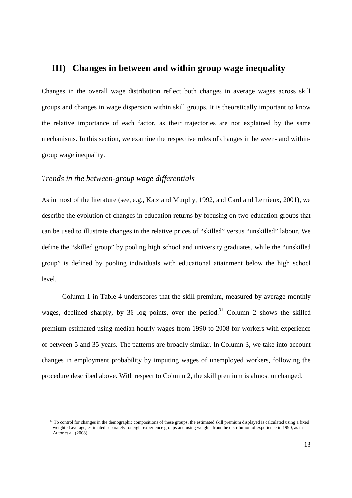### **III) Changes in between and within group wage inequality**

Changes in the overall wage distribution reflect both changes in average wages across skill groups and changes in wage dispersion within skill groups. It is theoretically important to know the relative importance of each factor, as their trajectories are not explained by the same mechanisms. In this section, we examine the respective roles of changes in between- and withingroup wage inequality.

### *Trends in the between-group wage differentials*

l

As in most of the literature (see, e.g., Katz and Murphy, 1992, and Card and Lemieux, 2001), we describe the evolution of changes in education returns by focusing on two education groups that can be used to illustrate changes in the relative prices of "skilled" versus "unskilled" labour. We define the "skilled group" by pooling high school and university graduates, while the "unskilled group" is defined by pooling individuals with educational attainment below the high school level.

Column 1 in Table 4 underscores that the skill premium, measured by average monthly wages, declined sharply, by 36 log points, over the period.<sup>31</sup> Column 2 shows the skilled premium estimated using median hourly wages from 1990 to 2008 for workers with experience of between 5 and 35 years. The patterns are broadly similar. In Column 3, we take into account changes in employment probability by imputing wages of unemployed workers, following the procedure described above. With respect to Column 2, the skill premium is almost unchanged.

<sup>&</sup>lt;sup>31</sup> To control for changes in the demographic compositions of these groups, the estimated skill premium displayed is calculated using a fixed weighted average, estimated separately for eight experience groups and using weights from the distribution of experience in 1990, as in Autor et al. (2008).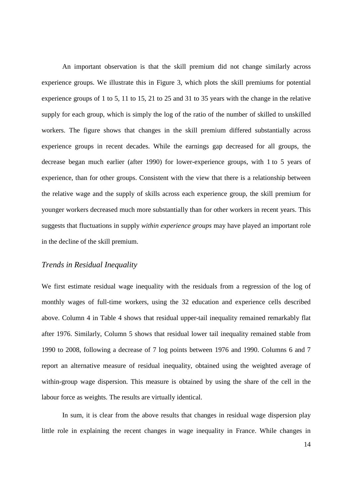An important observation is that the skill premium did not change similarly across experience groups. We illustrate this in Figure 3, which plots the skill premiums for potential experience groups of 1 to 5, 11 to 15, 21 to 25 and 31 to 35 years with the change in the relative supply for each group, which is simply the log of the ratio of the number of skilled to unskilled workers. The figure shows that changes in the skill premium differed substantially across experience groups in recent decades. While the earnings gap decreased for all groups, the decrease began much earlier (after 1990) for lower-experience groups, with 1 to 5 years of experience, than for other groups. Consistent with the view that there is a relationship between the relative wage and the supply of skills across each experience group, the skill premium for younger workers decreased much more substantially than for other workers in recent years. This suggests that fluctuations in supply *within experience groups* may have played an important role in the decline of the skill premium.

### *Trends in Residual Inequality*

We first estimate residual wage inequality with the residuals from a regression of the log of monthly wages of full-time workers, using the 32 education and experience cells described above. Column 4 in Table 4 shows that residual upper-tail inequality remained remarkably flat after 1976. Similarly, Column 5 shows that residual lower tail inequality remained stable from 1990 to 2008, following a decrease of 7 log points between 1976 and 1990. Columns 6 and 7 report an alternative measure of residual inequality, obtained using the weighted average of within-group wage dispersion. This measure is obtained by using the share of the cell in the labour force as weights. The results are virtually identical.

In sum, it is clear from the above results that changes in residual wage dispersion play little role in explaining the recent changes in wage inequality in France. While changes in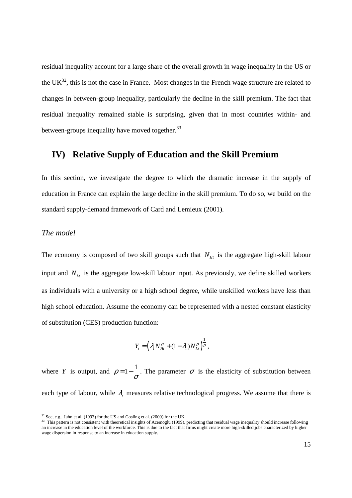residual inequality account for a large share of the overall growth in wage inequality in the US or the  $UK^{32}$ , this is not the case in France. Most changes in the French wage structure are related to changes in between-group inequality, particularly the decline in the skill premium. The fact that residual inequality remained stable is surprising, given that in most countries within- and between-groups inequality have moved together.<sup>33</sup>

# **IV) Relative Supply of Education and the Skill Premium**

In this section, we investigate the degree to which the dramatic increase in the supply of education in France can explain the large decline in the skill premium. To do so, we build on the standard supply-demand framework of Card and Lemieux (2001).

### *The model*

l

The economy is composed of two skill groups such that  $N<sub>Ht</sub>$  is the aggregate high-skill labour input and *NLt* is the aggregate low-skill labour input. As previously, we define skilled workers as individuals with a university or a high school degree, while unskilled workers have less than high school education. Assume the economy can be represented with a nested constant elasticity of substitution (CES) production function:

$$
Y_t = \left(\lambda_t N_{Ht}^\rho + (1 - \lambda_t) N_{Lt}^\rho\right)^{\frac{1}{\rho}},
$$

where *Y* is output, and  $\rho = 1 - \frac{1}{\sigma}$ . The parameter  $\sigma$  is the elasticity of substitution between each type of labour, while  $\lambda_t$  measures relative technological progress. We assume that there is

 $32$  See, e.g., Juhn et al. (1993) for the US and Gosling et al. (2000) for the UK.

<sup>&</sup>lt;sup>33</sup> This pattern is not consistent with theoretical insights of Acemoglu (1999), predicting that residual wage inequality should increase following an increase in the education level of the workforce. This is due to the fact that firms might create more high-skilled jobs characterized by higher wage dispersion in response to an increase in education supply.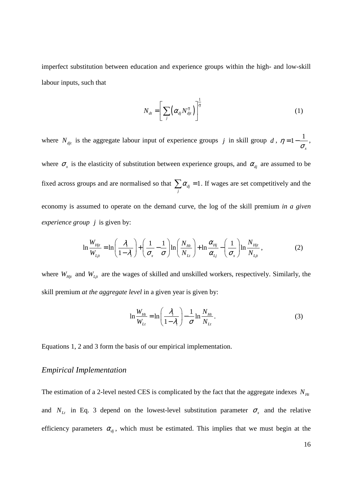imperfect substitution between education and experience groups within the high- and low-skill labour inputs, such that

$$
N_{dt} = \left[ \sum_{j} \left( \alpha_{dj} N_{djt}^{\eta} \right) \right]^{\frac{1}{\eta}}
$$
 (1)

where  $N_{di}$  is the aggregate labour input of experience groups *j* in skill group *d*,  $\eta = 1 - \frac{1}{\epsilon}$ *x*  $\eta = 1 - \frac{1}{\sigma},$ where  $\sigma_x$  is the elasticity of substitution between experience groups, and  $\alpha_{d}$  are assumed to be fixed across groups and are normalised so that  $\sum \alpha_{ij} = 1$ *j*  $\sum \alpha_{d} = 1$ . If wages are set competitively and the economy is assumed to operate on the demand curve, the log of the skill premium *in a given experience group j* is given by:

$$
\ln \frac{W_{Hjt}}{W_{Ljt}} = \ln \left( \frac{\lambda_i}{1 - \lambda_i} \right) + \left( \frac{1}{\sigma_x} - \frac{1}{\sigma} \right) \ln \left( \frac{N_{Ht}}{N_{Lt}} \right) + \ln \frac{\alpha_{Hj}}{\alpha_{Lj}} - \left( \frac{1}{\sigma_x} \right) \ln \frac{N_{Hjt}}{N_{Ljt}},
$$
\n(2)

where  $W_{Hj}$  and  $W_{Lj}$  are the wages of skilled and unskilled workers, respectively. Similarly, the skill premium *at the aggregate level* in a given year is given by:

$$
\ln \frac{W_{Ht}}{W_{Lt}} = \ln \left( \frac{\lambda_t}{1 - \lambda_t} \right) - \frac{1}{\sigma} \ln \frac{N_{Ht}}{N_{Lt}}.
$$
\n(3)

Equations 1, 2 and 3 form the basis of our empirical implementation.

### *Empirical Implementation*

The estimation of a 2-level nested CES is complicated by the fact that the aggregate indexes  $N_{Ht}$ and  $N_{\mu}$  in Eq. 3 depend on the lowest-level substitution parameter  $\sigma_{\mu}$  and the relative efficiency parameters  $\alpha_{dj}$ , which must be estimated. This implies that we must begin at the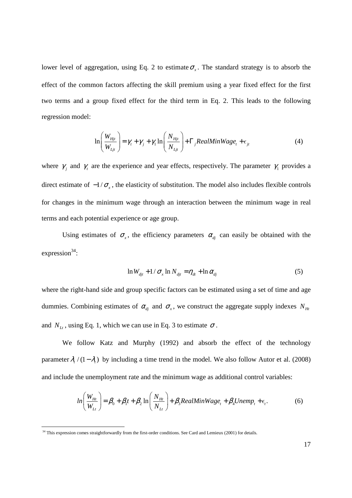lower level of aggregation, using Eq. 2 to estimate  $\sigma_{\rm x}$ . The standard strategy is to absorb the effect of the common factors affecting the skill premium using a year fixed effect for the first two terms and a group fixed effect for the third term in Eq. 2. This leads to the following regression model:

$$
\ln\left(\frac{W_{Hjt}}{W_{Ljt}}\right) = \gamma_t + \gamma_j + \gamma_1 \ln\left(\frac{N_{Hjt}}{N_{Ljt}}\right) + \Gamma_j RealMinWage_t + \epsilon_{jt}
$$
 (4)

where  $\gamma$ <sub>i</sub> and  $\gamma$ <sub>t</sub> are the experience and year effects, respectively. The parameter  $\gamma$ <sub>1</sub> provides a direct estimate of  $-1/\sigma_x$ , the elasticity of substitution. The model also includes flexible controls for changes in the minimum wage through an interaction between the minimum wage in real terms and each potential experience or age group.

Using estimates of  $\sigma_x$ , the efficiency parameters  $\alpha_{d}$  can easily be obtained with the expression $34$ :

$$
\ln W_{di} + 1/\sigma_x \ln N_{di} = \eta_{dt} + \ln \alpha_{di}
$$
 (5)

where the right-hand side and group specific factors can be estimated using a set of time and age dummies. Combining estimates of  $\alpha_{d}$  and  $\sigma_{x}$ , we construct the aggregate supply indexes  $N_{Ht}$ and  $N_{\mu}$ , using Eq. 1, which we can use in Eq. 3 to estimate  $\sigma$ .

We follow Katz and Murphy (1992) and absorb the effect of the technology parameter  $\lambda$ ,  $(1 - \lambda)$  by including a time trend in the model. We also follow Autor et al. (2008) and include the unemployment rate and the minimum wage as additional control variables:

$$
ln\left(\frac{W_{Ht}}{W_{Lt}}\right) = \beta_0 + \beta_1 t + \beta_2 ln\left(\frac{N_{Ht}}{N_{Lt}}\right) + \beta_3 RealMinWage_t + \beta_4 Unemp_t + \epsilon_t.
$$
 (6)

l

<sup>&</sup>lt;sup>34</sup> This expression comes straightforwardly from the first-order conditions. See Card and Lemieux (2001) for details.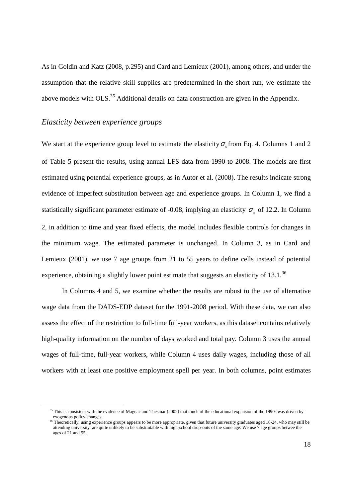As in Goldin and Katz (2008, p.295) and Card and Lemieux (2001), among others, and under the assumption that the relative skill supplies are predetermined in the short run, we estimate the above models with OLS.<sup>35</sup> Additional details on data construction are given in the Appendix.

### *Elasticity between experience groups*

We start at the experience group level to estimate the elasticity  $\sigma_x$  from Eq. 4. Columns 1 and 2 of Table 5 present the results, using annual LFS data from 1990 to 2008. The models are first estimated using potential experience groups, as in Autor et al. (2008). The results indicate strong evidence of imperfect substitution between age and experience groups. In Column 1, we find a statistically significant parameter estimate of -0.08, implying an elasticity  $\sigma_x$  of 12.2. In Column 2, in addition to time and year fixed effects, the model includes flexible controls for changes in the minimum wage. The estimated parameter is unchanged. In Column 3, as in Card and Lemieux (2001), we use 7 age groups from 21 to 55 years to define cells instead of potential experience, obtaining a slightly lower point estimate that suggests an elasticity of  $13.1^{36}$ 

In Columns 4 and 5, we examine whether the results are robust to the use of alternative wage data from the DADS-EDP dataset for the 1991-2008 period. With these data, we can also assess the effect of the restriction to full-time full-year workers, as this dataset contains relatively high-quality information on the number of days worked and total pay. Column 3 uses the annual wages of full-time, full-year workers, while Column 4 uses daily wages, including those of all workers with at least one positive employment spell per year. In both columns, point estimates

<sup>&</sup>lt;sup>35</sup> This is consistent with the evidence of Magnac and Thesmar (2002) that much of the educational expansion of the 1990s was driven by exogenous policy changes.

<sup>36</sup> Theoretically, using experience groups appears to be more appropriate, given that future university graduates aged 18-24, who may still be attending university, are quite unlikely to be substitutable with high-school drop-outs of the same age. We use 7 age groups betwee the ages of 21 and 55.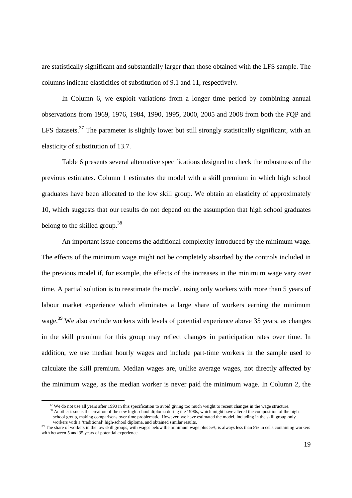are statistically significant and substantially larger than those obtained with the LFS sample. The columns indicate elasticities of substitution of 9.1 and 11, respectively.

In Column 6, we exploit variations from a longer time period by combining annual observations from 1969, 1976, 1984, 1990, 1995, 2000, 2005 and 2008 from both the FQP and LFS datasets.<sup>37</sup> The parameter is slightly lower but still strongly statistically significant, with an elasticity of substitution of 13.7.

Table 6 presents several alternative specifications designed to check the robustness of the previous estimates. Column 1 estimates the model with a skill premium in which high school graduates have been allocated to the low skill group. We obtain an elasticity of approximately 10, which suggests that our results do not depend on the assumption that high school graduates belong to the skilled group.<sup>38</sup>

An important issue concerns the additional complexity introduced by the minimum wage. The effects of the minimum wage might not be completely absorbed by the controls included in the previous model if, for example, the effects of the increases in the minimum wage vary over time. A partial solution is to reestimate the model, using only workers with more than 5 years of labour market experience which eliminates a large share of workers earning the minimum wage.<sup>39</sup> We also exclude workers with levels of potential experience above 35 years, as changes in the skill premium for this group may reflect changes in participation rates over time. In addition, we use median hourly wages and include part-time workers in the sample used to calculate the skill premium. Median wages are, unlike average wages, not directly affected by the minimum wage, as the median worker is never paid the minimum wage. In Column 2, the

<sup>38</sup> Another issue is the creation of the new high school diploma during the 1990s, which might have altered the composition of the highschool group, making comparisons over time problematic. However, we have estimated the model, including in the skill group only workers with a 'traditional' high-school diploma, and obtained similar results.

<sup>&</sup>lt;sup>37</sup> We do not use all years after 1990 in this specification to avoid giving too much weight to recent changes in the wage structure.

<sup>&</sup>lt;sup>39</sup> The share of workers in the low skill groups, with wages below the minimum wage plus 5%, is always less than 5% in cells containing workers with between 5 and 35 years of potential experience.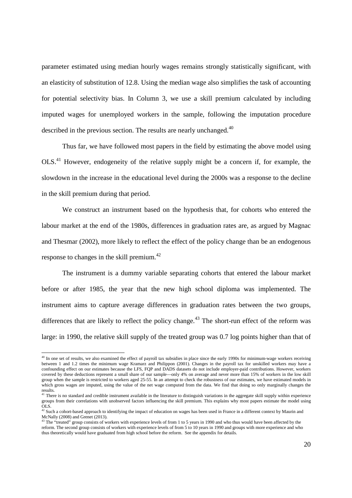parameter estimated using median hourly wages remains strongly statistically significant, with an elasticity of substitution of 12.8. Using the median wage also simplifies the task of accounting for potential selectivity bias. In Column 3, we use a skill premium calculated by including imputed wages for unemployed workers in the sample, following the imputation procedure described in the previous section. The results are nearly unchanged.<sup>40</sup>

Thus far, we have followed most papers in the field by estimating the above model using OLS.<sup>41</sup> However, endogeneity of the relative supply might be a concern if, for example, the slowdown in the increase in the educational level during the 2000s was a response to the decline in the skill premium during that period.

We construct an instrument based on the hypothesis that, for cohorts who entered the labour market at the end of the 1980s, differences in graduation rates are, as argued by Magnac and Thesmar (2002), more likely to reflect the effect of the policy change than be an endogenous response to changes in the skill premium.<sup>42</sup>

The instrument is a dummy variable separating cohorts that entered the labour market before or after 1985, the year that the new high school diploma was implemented. The instrument aims to capture average differences in graduation rates between the two groups, differences that are likely to reflect the policy change.<sup>43</sup> The short-run effect of the reform was large: in 1990, the relative skill supply of the treated group was 0.7 log points higher than that of

<sup>&</sup>lt;sup>40</sup> In one set of results, we also examined the effect of payroll tax subsidies in place since the early 1990s for minimum-wage workers receiving between 1 and 1.2 times the minimum wage Kramarz and Philippon (2001). Changes in the payroll tax for unskilled workers may have a confounding effect on our estimates because the LFS, FQP and DADS datasets do not include employer-paid contributions. However, workers covered by these deductions represent a small share of our sample—only 4% on average and never more than 15% of workers in the low skill group when the sample is restricted to workers aged 25-55. In an attempt to check the robustness of our estimates, we have estimated models in which gross wages are imputed, using the value of the net wage computed from the data. We find that doing so only marginally changes the results.

There is no standard and credible instrument available in the literature to distinguish variations in the aggregate skill supply within experience groups from their correlations with unobserved factors influencing the skill premium. This explains why most papers estimate the model using OLS.<br><sup>42</sup> Such a cohort-based approach to identifying the impact of education on wages has been used in France in a different context by Maurin and

McNally (2008) and Grenet (2013).<br><sup>43</sup> The "treated" group consists of workers with experience levels of from 1 to 5 years in 1990 and who thus would have been affected by the

reform. The second group consists of workers with experience levels of from 5 to 10 years in 1990 and groups with more experience and who thus theoretically would have graduated from high school before the reform. See the appendix for details.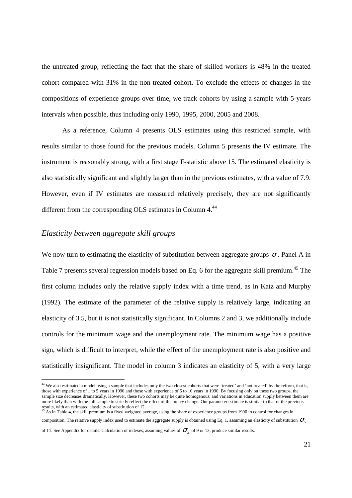the untreated group, reflecting the fact that the share of skilled workers is 48% in the treated cohort compared with 31% in the non-treated cohort. To exclude the effects of changes in the compositions of experience groups over time, we track cohorts by using a sample with 5-years intervals when possible, thus including only 1990, 1995, 2000, 2005 and 2008.

As a reference, Column 4 presents OLS estimates using this restricted sample, with results similar to those found for the previous models. Column 5 presents the IV estimate. The instrument is reasonably strong, with a first stage F-statistic above 15. The estimated elasticity is also statistically significant and slightly larger than in the previous estimates, with a value of 7.9. However, even if IV estimates are measured relatively precisely, they are not significantly different from the corresponding OLS estimates in Column 4.<sup>44</sup>

### *Elasticity between aggregate skill groups*

l

We now turn to estimating the elasticity of substitution between aggregate groups  $\sigma$ . Panel A in Table 7 presents several regression models based on Eq. 6 for the aggregate skill premium.<sup>45</sup> The first column includes only the relative supply index with a time trend, as in Katz and Murphy (1992). The estimate of the parameter of the relative supply is relatively large, indicating an elasticity of 3.5, but it is not statistically significant. In Columns 2 and 3, we additionally include controls for the minimum wage and the unemployment rate. The minimum wage has a positive sign, which is difficult to interpret, while the effect of the unemployment rate is also positive and statistically insignificant. The model in column 3 indicates an elasticity of 5, with a very large

<sup>&</sup>lt;sup>44</sup> We also estimated a model using a sample that includes only the two closest cohorts that were 'treated' and 'not treated' by the reform, that is, those with experience of 1 to 5 years in 1990 and those with experience of 5 to 10 years in 1990. By focusing only on these two groups, the sample size decreases dramatically. However, these two cohorts may be quite homogenous, and variations in education supply between them are more likely than with the full sample to strictly reflect the effect of the policy change. Our parameter estimate is similar to that of the previous results, with an estimated elasticity of substitution of 12.<br><sup>45</sup> As in Table 4, the skill premium is a fixed weighted average, using the share of experience groups from 1990 to control for changes in

composition. The relative supply index used to estimate the aggregate supply is obtained using Eq. 1, assuming an elasticity of substitution  $σ_$ 

of 11. See Appendix for details. Calculation of indexes, assuming values of  $\sigma_x$  of 9 or 13, produce similar results.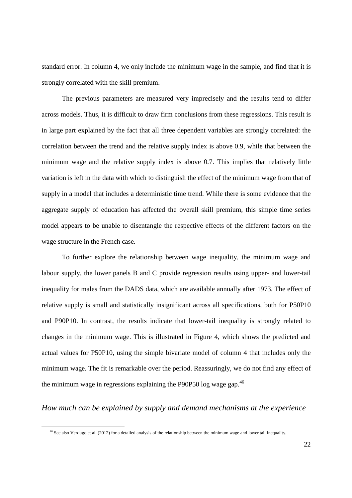standard error. In column 4, we only include the minimum wage in the sample, and find that it is strongly correlated with the skill premium.

The previous parameters are measured very imprecisely and the results tend to differ across models. Thus, it is difficult to draw firm conclusions from these regressions. This result is in large part explained by the fact that all three dependent variables are strongly correlated: the correlation between the trend and the relative supply index is above 0.9, while that between the minimum wage and the relative supply index is above 0.7. This implies that relatively little variation is left in the data with which to distinguish the effect of the minimum wage from that of supply in a model that includes a deterministic time trend. While there is some evidence that the aggregate supply of education has affected the overall skill premium, this simple time series model appears to be unable to disentangle the respective effects of the different factors on the wage structure in the French case.

To further explore the relationship between wage inequality, the minimum wage and labour supply, the lower panels B and C provide regression results using upper- and lower-tail inequality for males from the DADS data, which are available annually after 1973. The effect of relative supply is small and statistically insignificant across all specifications, both for P50P10 and P90P10. In contrast, the results indicate that lower-tail inequality is strongly related to changes in the minimum wage. This is illustrated in Figure 4, which shows the predicted and actual values for P50P10, using the simple bivariate model of column 4 that includes only the minimum wage. The fit is remarkable over the period. Reassuringly, we do not find any effect of the minimum wage in regressions explaining the P90P50 log wage gap. $46$ 

### *How much can be explained by supply and demand mechanisms at the experience*

l

 $46$  See also Verdugo et al. (2012) for a detailed analysis of the relationship between the minimum wage and lower tail inequality.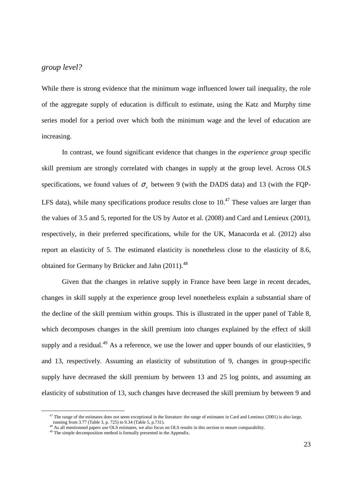### *group level?*

While there is strong evidence that the minimum wage influenced lower tail inequality, the role of the aggregate supply of education is difficult to estimate, using the Katz and Murphy time series model for a period over which both the minimum wage and the level of education are increasing.

In contrast, we found significant evidence that changes in the *experience group* specific skill premium are strongly correlated with changes in supply at the group level. Across OLS specifications, we found values of  $\sigma_x$  between 9 (with the DADS data) and 13 (with the FQP-LFS data), while many specifications produce results close to  $10<sup>47</sup>$  These values are larger than the values of 3.5 and 5, reported for the US by Autor et al. (2008) and Card and Lemieux (2001), respectively, in their preferred specifications, while for the UK, Manacorda et al. (2012) also report an elasticity of 5. The estimated elasticity is nonetheless close to the elasticity of 8.6, obtained for Germany by Brücker and Jahn (2011).<sup>48</sup>

Given that the changes in relative supply in France have been large in recent decades, changes in skill supply at the experience group level nonetheless explain a substantial share of the decline of the skill premium within groups. This is illustrated in the upper panel of Table 8, which decomposes changes in the skill premium into changes explained by the effect of skill supply and a residual.<sup>49</sup> As a reference, we use the lower and upper bounds of our elasticities, 9 and 13, respectively. Assuming an elasticity of substitution of 9, changes in group-specific supply have decreased the skill premium by between 13 and 25 log points, and assuming an elasticity of substitution of 13, such changes have decreased the skill premium by between 9 and

l

<sup>&</sup>lt;sup>47</sup> The range of the estimates does not seem exceptional in the literature: the range of estimates in Card and Lemieux (2001) is also large,

running from 3.77 (Table 3, p. 725) to 9.34 (Table 5, p. 731).

<sup>&</sup>lt;sup>48</sup> As all mentionned papers use OLS estimates, we also focus on OLS results in this section to ensure comparability.

<sup>&</sup>lt;sup>49</sup> The simple decomposition method is formally presented in the Appendix.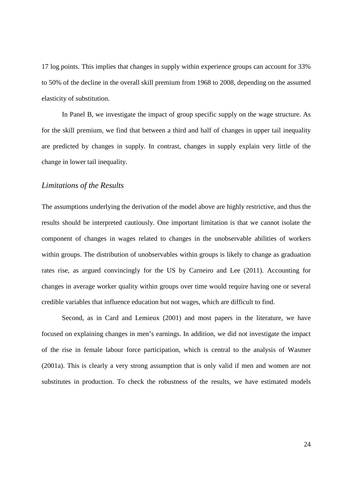17 log points. This implies that changes in supply within experience groups can account for 33% to 50% of the decline in the overall skill premium from 1968 to 2008, depending on the assumed elasticity of substitution.

In Panel B, we investigate the impact of group specific supply on the wage structure. As for the skill premium, we find that between a third and half of changes in upper tail inequality are predicted by changes in supply. In contrast, changes in supply explain very little of the change in lower tail inequality.

### *Limitations of the Results*

The assumptions underlying the derivation of the model above are highly restrictive, and thus the results should be interpreted cautiously. One important limitation is that we cannot isolate the component of changes in wages related to changes in the unobservable abilities of workers within groups. The distribution of unobservables within groups is likely to change as graduation rates rise, as argued convincingly for the US by Carneiro and Lee (2011). Accounting for changes in average worker quality within groups over time would require having one or several credible variables that influence education but not wages, which are difficult to find.

Second, as in Card and Lemieux (2001) and most papers in the literature, we have focused on explaining changes in men's earnings. In addition, we did not investigate the impact of the rise in female labour force participation, which is central to the analysis of Wasmer (2001a). This is clearly a very strong assumption that is only valid if men and women are not substitutes in production. To check the robustness of the results, we have estimated models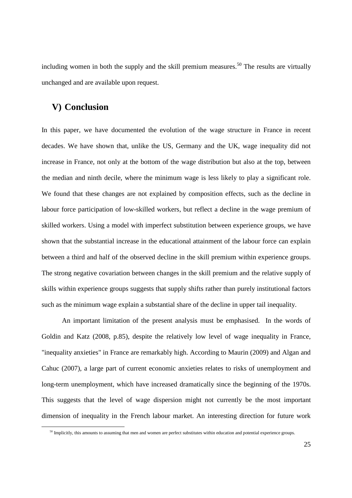including women in both the supply and the skill premium measures.<sup>50</sup> The results are virtually unchanged and are available upon request.

### **V) Conclusion**

l

In this paper, we have documented the evolution of the wage structure in France in recent decades. We have shown that, unlike the US, Germany and the UK, wage inequality did not increase in France, not only at the bottom of the wage distribution but also at the top, between the median and ninth decile, where the minimum wage is less likely to play a significant role. We found that these changes are not explained by composition effects, such as the decline in labour force participation of low-skilled workers, but reflect a decline in the wage premium of skilled workers. Using a model with imperfect substitution between experience groups, we have shown that the substantial increase in the educational attainment of the labour force can explain between a third and half of the observed decline in the skill premium within experience groups. The strong negative covariation between changes in the skill premium and the relative supply of skills within experience groups suggests that supply shifts rather than purely institutional factors such as the minimum wage explain a substantial share of the decline in upper tail inequality.

An important limitation of the present analysis must be emphasised. In the words of Goldin and Katz (2008, p.85), despite the relatively low level of wage inequality in France, "inequality anxieties" in France are remarkably high. According to Maurin (2009) and Algan and Cahuc (2007), a large part of current economic anxieties relates to risks of unemployment and long-term unemployment, which have increased dramatically since the beginning of the 1970s. This suggests that the level of wage dispersion might not currently be the most important dimension of inequality in the French labour market. An interesting direction for future work

<sup>&</sup>lt;sup>50</sup> Implicitly, this amounts to assuming that men and women are perfect substitutes within education and potential experience groups.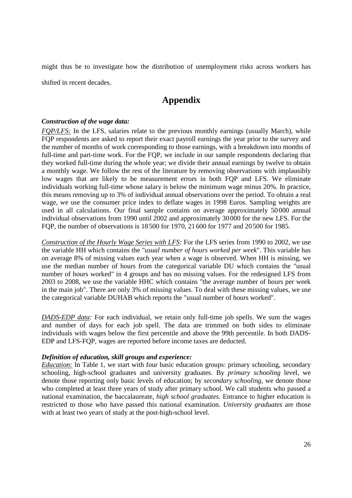might thus be to investigate how the distribution of unemployment risks across workers has shifted in recent decades.

# **Appendix**

### *Construction of the wage data:*

*FQP/LFS:* In the LFS, salaries relate to the previous monthly earnings (usually March), while FQP respondents are asked to report their exact payroll earnings the year prior to the survey and the number of months of work corresponding to those earnings, with a breakdown into months of full-time and part-time work. For the FQP, we include in our sample respondents declaring that they worked full-time during the whole year; we divide their annual earnings by twelve to obtain a monthly wage. We follow the rest of the literature by removing observations with implausibly low wages that are likely to be measurement errors in both FQP and LFS. We eliminate individuals working full-time whose salary is below the minimum wage minus 20%. In practice, this means removing up to 3% of individual annual observations over the period. To obtain a real wage, we use the consumer price index to deflate wages in 1998 Euros. Sampling weights are used in all calculations. Our final sample contains on average approximately 50000 annual individual observations from 1990 until 2002 and approximately 30 000 for the new LFS. For the FQP, the number of observations is 18 500 for 1970, 21600 for 1977 and 20500 for 1985.

*Construction of the Hourly Wage Series with LFS:* For the LFS series from 1990 to 2002, we use the variable HH which contains the "*usual number of hours worked per week*". This variable has on average 8% of missing values each year when a wage is observed. When HH is missing, we use the median number of hours from the categorical variable DU which contains the "usual number of hours worked" in 4 groups and has no missing values. For the redesigned LFS from 2003 to 2008, we use the variable HHC which contains "the average number of hours per week in the main job". There are only 3% of missing values. To deal with these missing values, we use the categorical variable DUHAB which reports the "usual number of hours worked".

*DADS-EDP data:* For each individual, we retain only full-time job spells. We sum the wages and number of days for each job spell. The data are trimmed on both sides to eliminate individuals with wages below the first percentile and above the 99th percentile. In both DADS-EDP and LFS-FQP, wages are reported before income taxes are deducted.

#### *Definition of education, skill groups and experience:*

*Education:* In Table 1, we start with four basic education groups: primary schooling, secondary schooling, high-school graduates and university graduates. By *primary schooling* level, we denote those reporting only basic levels of education; by *secondary schooling*, we denote those who completed at least three years of study after primary school. We call students who passed a national examination, the baccalaureate, *high school graduates*. Entrance to higher education is restricted to those who have passed this national examination. *University graduates* are those with at least two years of study at the post-high-school level.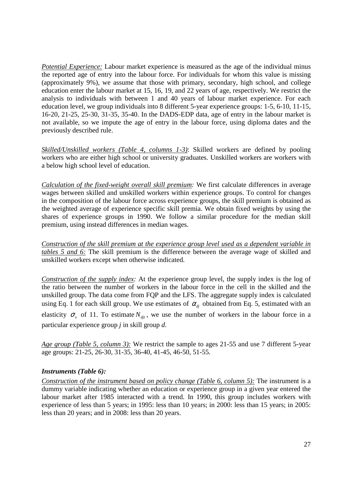*Potential Experience:* Labour market experience is measured as the age of the individual minus the reported age of entry into the labour force. For individuals for whom this value is missing (approximately 9%), we assume that those with primary, secondary, high school, and college education enter the labour market at 15, 16, 19, and 22 years of age, respectively. We restrict the analysis to individuals with between 1 and 40 years of labour market experience. For each education level, we group individuals into 8 different 5-year experience groups: 1-5, 6-10, 11-15, 16-20, 21-25, 25-30, 31-35, 35-40. In the DADS-EDP data, age of entry in the labour market is not available, so we impute the age of entry in the labour force, using diploma dates and the previously described rule.

*Skilled/Unskilled workers (Table 4, columns 1-3)*: Skilled workers are defined by pooling workers who are either high school or university graduates. Unskilled workers are workers with a below high school level of education.

*Calculation of the fixed-weight overall skill premium:* We first calculate differences in average wages between skilled and unskilled workers within experience groups. To control for changes in the composition of the labour force across experience groups, the skill premium is obtained as the weighted average of experience specific skill premia. We obtain fixed weights by using the shares of experience groups in 1990. We follow a similar procedure for the median skill premium, using instead differences in median wages.

*Construction of the skill premium at the experience group level used as a dependent variable in tables 5 and 6:* The skill premium is the difference between the average wage of skilled and unskilled workers except when otherwise indicated.

*Construction of the supply index:* At the experience group level, the supply index is the log of the ratio between the number of workers in the labour force in the cell in the skilled and the unskilled group. The data come from FQP and the LFS. The aggregate supply index is calculated using Eq. 1 for each skill group. We use estimates of  $\alpha_d$  obtained from Eq. 5, estimated with an elasticity  $\sigma_x$  of 11. To estimate  $N_{di}$ , we use the number of workers in the labour force in a particular experience group *j* in skill group *d*.

*Age group (Table 5, column 3):* We restrict the sample to ages 21-55 and use 7 different 5-year age groups: 21-25, 26-30, 31-35, 36-40, 41-45, 46-50, 51-55.

### *Instruments (Table 6):*

*Construction of the instrument based on policy change (Table 6, column 5):* The instrument is a dummy variable indicating whether an education or experience group in a given year entered the labour market after 1985 interacted with a trend. In 1990, this group includes workers with experience of less than 5 years; in 1995: less than 10 years; in 2000: less than 15 years; in 2005: less than 20 years; and in 2008: less than 20 years.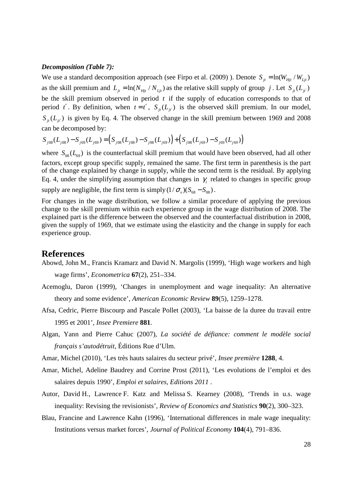#### *Decomposition (Table 7):*

We use a standard decomposition approach (see Firpo et al. (2009)). Denote  $S_{it} = \ln(W_{Hi}/W_{Li}$ as the skill premium and  $L_{j_t} = \ln(N_{Hjt} / N_{Ljt})$  as the relative skill supply of group *j*. Let  $S_{j_t}(L_{j_t})$ be the skill premium observed in period *t* if the supply of education corresponds to that of period *t'*. By definition, when  $t = t'$ ,  $S_{it}(L_{it'})$  is the observed skill premium. In our model,  $S_{i} (L_{i} )$  is given by Eq. 4. The observed change in the skill premium between 1969 and 2008 can be decomposed by:

 $S_{j08}(L_{j08}) - S_{j69}(L_{j69}) = (S_{j08}(L_{j08}) - S_{j08}(L_{j69})) + (S_{j08}(L_{j69}) - S_{j69}(L_{j69}))$ 

where  $S_{08}(L_{69})$  is the counterfactual skill premium that would have been observed, had all other factors, except group specific supply, remained the same. The first term in parenthesis is the part of the change explained by change in supply, while the second term is the residual. By applying Eq. 4, under the simplifying assumption that changes in  $\gamma$  related to changes in specific group supply are negligible, the first term is simply  $(1/\sigma_x)(S_{68} - S_{08})$ .

For changes in the wage distribution, we follow a similar procedure of applying the previous change to the skill premium within each experience group in the wage distribution of 2008. The explained part is the difference between the observed and the counterfactual distribution in 2008, given the supply of 1969, that we estimate using the elasticity and the change in supply for each experience group.

### **References**

- Abowd, John M., Francis Kramarz and David N. Margolis (1999), 'High wage workers and high wage firms', *Econometrica* **67**(2), 251–334.
- Acemoglu, Daron (1999), 'Changes in unemployment and wage inequality: An alternative theory and some evidence', *American Economic Review* **89**(5), 1259–1278.
- Afsa, Cedric, Pierre Biscourp and Pascale Pollet (2003), 'La baisse de la duree du travail entre 1995 et 2001', *Insee Premiere* **881**.
- Algan, Yann and Pierre Cahuc (2007), *La société de défiance: comment le modèle social français s'autodétruit*, Éditions Rue d'Ulm.
- Amar, Michel (2010), 'Les très hauts salaires du secteur privé', *Insee première* **1288**, 4.
- Amar, Michel, Adeline Baudrey and Corrine Prost (2011), 'Les evolutions de l'emploi et des salaires depuis 1990', *Emploi et salaires, Editions 2011* .
- Autor, David H., Lawrence F. Katz and Melissa S. Kearney (2008), 'Trends in u.s. wage inequality: Revising the revisionists', *Review of Economics and Statistics* **90**(2), 300–323.
- Blau, Francine and Lawrence Kahn (1996), 'International differences in male wage inequality: Institutions versus market forces', *Journal of Political Economy* **104**(4), 791–836.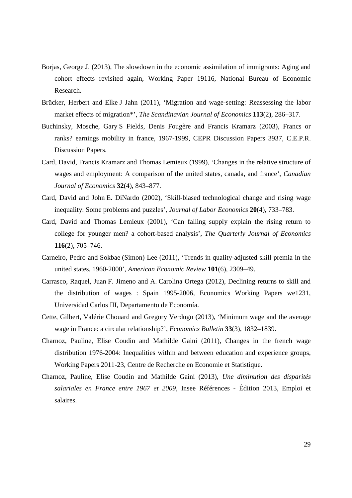- Borjas, George J. (2013), The slowdown in the economic assimilation of immigrants: Aging and cohort effects revisited again, Working Paper 19116, National Bureau of Economic Research.
- Brücker, Herbert and Elke J Jahn (2011), 'Migration and wage-setting: Reassessing the labor market effects of migration\*', *The Scandinavian Journal of Economics* **113**(2), 286–317.
- Buchinsky, Mosche, Gary S Fields, Denis Fougère and Francis Kramarz (2003), Francs or ranks? earnings mobility in france, 1967-1999, CEPR Discussion Papers 3937, C.E.P.R. Discussion Papers.
- Card, David, Francis Kramarz and Thomas Lemieux (1999), 'Changes in the relative structure of wages and employment: A comparison of the united states, canada, and france', *Canadian Journal of Economics* **32**(4), 843–877.
- Card, David and John E. DiNardo (2002), 'Skill-biased technological change and rising wage inequality: Some problems and puzzles', *Journal of Labor Economics* **20**(4), 733–783.
- Card, David and Thomas Lemieux (2001), 'Can falling supply explain the rising return to college for younger men? a cohort-based analysis', *The Quarterly Journal of Economics* **116**(2), 705–746.
- Carneiro, Pedro and Sokbae (Simon) Lee (2011), 'Trends in quality-adjusted skill premia in the united states, 1960-2000', *American Economic Review* **101**(6), 2309–49.
- Carrasco, Raquel, Juan F. Jimeno and A. Carolina Ortega (2012), Declining returns to skill and the distribution of wages : Spain 1995-2006, Economics Working Papers we1231, Universidad Carlos III, Departamento de Economía.
- Cette, Gilbert, Valérie Chouard and Gregory Verdugo (2013), 'Minimum wage and the average wage in France: a circular relationship?', *Economics Bulletin* **33**(3), 1832–1839.
- Charnoz, Pauline, Elise Coudin and Mathilde Gaini (2011), Changes in the french wage distribution 1976-2004: Inequalities within and between education and experience groups, Working Papers 2011-23, Centre de Recherche en Economie et Statistique.
- Charnoz, Pauline, Elise Coudin and Mathilde Gaini (2013), *Une diminution des disparités salariales en France entre 1967 et 2009*, Insee Références - Édition 2013, Emploi et salaires.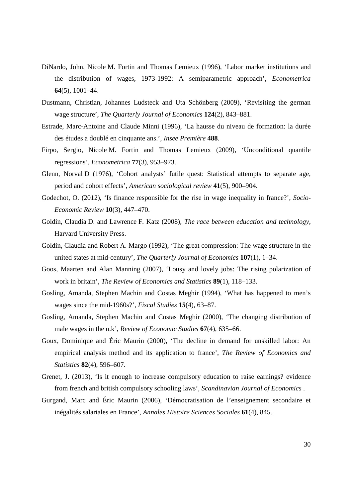- DiNardo, John, Nicole M. Fortin and Thomas Lemieux (1996), 'Labor market institutions and the distribution of wages, 1973-1992: A semiparametric approach', *Econometrica* **64**(5), 1001–44.
- Dustmann, Christian, Johannes Ludsteck and Uta Schönberg (2009), 'Revisiting the german wage structure', *The Quarterly Journal of Economics* **124**(2), 843–881.
- Estrade, Marc-Antoine and Claude Minni (1996), 'La hausse du niveau de formation: la durée des études a doublé en cinquante ans.', *Insee Première* **488**.
- Firpo, Sergio, Nicole M. Fortin and Thomas Lemieux (2009), 'Unconditional quantile regressions', *Econometrica* **77**(3), 953–973.
- Glenn, Norval D (1976), 'Cohort analysts' futile quest: Statistical attempts to separate age, period and cohort effects', *American sociological review* **41**(5), 900–904.
- Godechot, O. (2012), 'Is finance responsible for the rise in wage inequality in france?', *Socio-Economic Review* **10**(3), 447–470.
- Goldin, Claudia D. and Lawrence F. Katz (2008), *The race between education and technology*, Harvard University Press.
- Goldin, Claudia and Robert A. Margo (1992), 'The great compression: The wage structure in the united states at mid-century', *The Quarterly Journal of Economics* **107**(1), 1–34.
- Goos, Maarten and Alan Manning (2007), 'Lousy and lovely jobs: The rising polarization of work in britain', *The Review of Economics and Statistics* **89**(1), 118–133.
- Gosling, Amanda, Stephen Machin and Costas Meghir (1994), 'What has happened to men's wages since the mid-1960s?', *Fiscal Studies* **15**(4), 63–87.
- Gosling, Amanda, Stephen Machin and Costas Meghir (2000), 'The changing distribution of male wages in the u.k', *Review of Economic Studies* **67**(4), 635–66.
- Goux, Dominique and Éric Maurin (2000), 'The decline in demand for unskilled labor: An empirical analysis method and its application to france', *The Review of Economics and Statistics* **82**(4), 596–607.
- Grenet, J. (2013), 'Is it enough to increase compulsory education to raise earnings? evidence from french and british compulsory schooling laws', *Scandinavian Journal of Economics* .
- Gurgand, Marc and Éric Maurin (2006), 'Démocratisation de l'enseignement secondaire et inégalités salariales en France', *Annales Histoire Sciences Sociales* **61**(4), 845.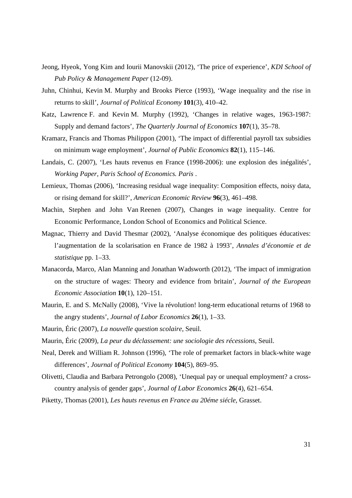- Jeong, Hyeok, Yong Kim and Iourii Manovskii (2012), 'The price of experience', *KDI School of Pub Policy & Management Paper* (12-09).
- Juhn, Chinhui, Kevin M. Murphy and Brooks Pierce (1993), 'Wage inequality and the rise in returns to skill', *Journal of Political Economy* **101**(3), 410–42.
- Katz, Lawrence F. and Kevin M. Murphy (1992), 'Changes in relative wages, 1963-1987: Supply and demand factors', *The Quarterly Journal of Economics* **107**(1), 35–78.
- Kramarz, Francis and Thomas Philippon (2001), 'The impact of differential payroll tax subsidies on minimum wage employment', *Journal of Public Economics* **82**(1), 115–146.
- Landais, C. (2007), 'Les hauts revenus en France (1998-2006): une explosion des inégalités', *Working Paper, Paris School of Economics. Paris* .
- Lemieux, Thomas (2006), 'Increasing residual wage inequality: Composition effects, noisy data, or rising demand for skill?', *American Economic Review* **96**(3), 461–498.
- Machin, Stephen and John Van Reenen (2007), Changes in wage inequality. Centre for Economic Performance, London School of Economics and Political Science.
- Magnac, Thierry and David Thesmar (2002), 'Analyse économique des politiques éducatives: l'augmentation de la scolarisation en France de 1982 à 1993', *Annales d'économie et de statistique* pp. 1–33.
- Manacorda, Marco, Alan Manning and Jonathan Wadsworth (2012), 'The impact of immigration on the structure of wages: Theory and evidence from britain', *Journal of the European Economic Association* **10**(1), 120–151.
- Maurin, E. and S. McNally (2008), 'Vive la révolution! long-term educational returns of 1968 to the angry students', *Journal of Labor Economics* **26**(1), 1–33.
- Maurin, Éric (2007), *La nouvelle question scolaire*, Seuil.
- Maurin, Éric (2009), *La peur du déclassement: une sociologie des récessions*, Seuil.
- Neal, Derek and William R. Johnson (1996), 'The role of premarket factors in black-white wage differences', *Journal of Political Economy* **104**(5), 869–95.
- Olivetti, Claudia and Barbara Petrongolo (2008), 'Unequal pay or unequal employment? a crosscountry analysis of gender gaps', *Journal of Labor Economics* **26**(4), 621–654.
- Piketty, Thomas (2001), *Les hauts revenus en France au 20éme siécle*, Grasset.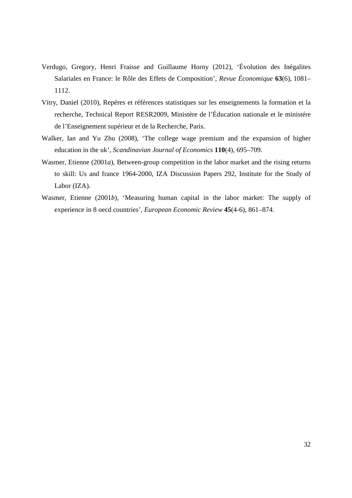- Verdugo, Gregory, Henri Fraisse and Guillaume Horny (2012), 'Évolution des Inégalites Salariales en France: le Rôle des Effets de Composition', *Revue Économique* **63**(6), 1081– 1112.
- Vitry, Daniel (2010), Repères et références statistiques sur les enseignements la formation et la recherche, Technical Report RESR2009, Ministère de l'Éducation nationale et le ministére de l'Enseignement supérieur et de la Recherche, Paris.
- Walker, Ian and Yu Zhu (2008), 'The college wage premium and the expansion of higher education in the uk', *Scandinavian Journal of Economics* **110**(4), 695–709.
- Wasmer, Etienne (2001*a*), Between-group competition in the labor market and the rising returns to skill: Us and france 1964-2000, IZA Discussion Papers 292, Institute for the Study of Labor (IZA).
- Wasmer, Etienne (2001*b*), 'Measuring human capital in the labor market: The supply of experience in 8 oecd countries', *European Economic Review* **45**(4-6), 861–874.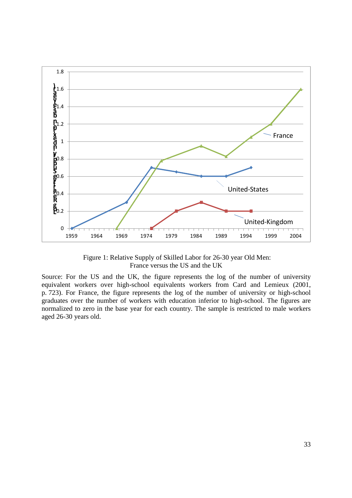

 Figure 1: Relative Supply of Skilled Labor for 26-30 year Old Men: France versus the US and the UK

Source: For the US and the UK, the figure represents the log of the number of university equivalent workers over high-school equivalents workers from Card and Lemieux (2001, p. 723). For France, the figure represents the log of the number of university or high-school graduates over the number of workers with education inferior to high-school. The figures are normalized to zero in the base year for each country. The sample is restricted to male workers aged 26-30 years old.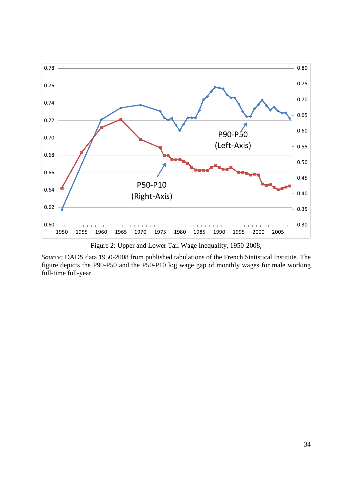

Figure 2: Upper and Lower Tail Wage Inequality, 1950-2008,

*Source:* DADS data 1950-2008 from published tabulations of the French Statistical Institute. The figure depicts the P90-P50 and the P50-P10 log wage gap of monthly wages for male working full-time full-year.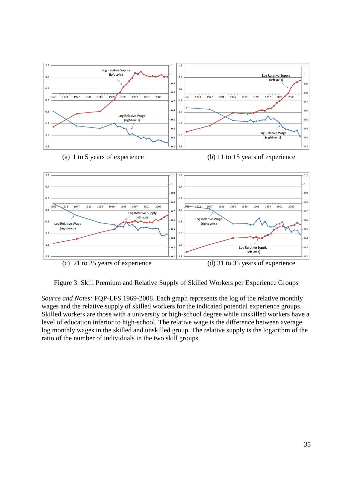

Figure 3: Skill Premium and Relative Supply of Skilled Workers per Experience Groups

*Source and Notes:* FQP-LFS 1969-2008. Each graph represents the log of the relative monthly wages and the relative supply of skilled workers for the indicated potential experience groups. Skilled workers are those with a university or high-school degree while unskilled workers have a level of education inferior to high-school. The relative wage is the difference between average log monthly wages in the skilled and unskilled group. The relative supply is the logarithm of the ratio of the number of individuals in the two skill groups.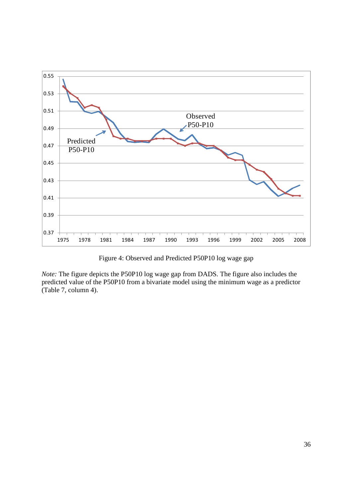

Figure 4: Observed and Predicted P50P10 log wage gap

*Note:* The figure depicts the P50P10 log wage gap from DADS. The figure also includes the predicted value of the P50P10 from a bivariate model using the minimum wage as a predictor (Table 7, column 4).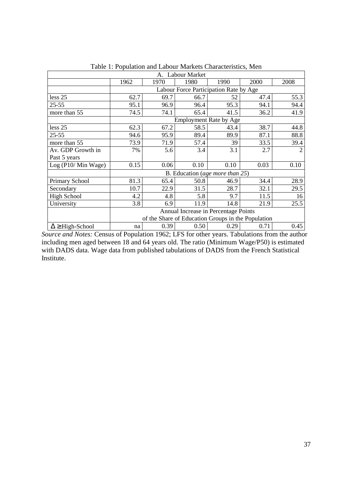| A. Labour Market          |                                                    |      |      |                                 |      |                |  |  |
|---------------------------|----------------------------------------------------|------|------|---------------------------------|------|----------------|--|--|
|                           | 1962                                               | 1970 | 1980 | 1990                            | 2000 | 2008           |  |  |
|                           | Labour Force Participation Rate by Age             |      |      |                                 |      |                |  |  |
| less 25                   | 62.7                                               | 69.7 | 66.7 | 52                              | 47.4 | 55.3           |  |  |
| $25 - 55$                 | 95.1                                               | 96.9 | 96.4 | 95.3                            | 94.1 | 94.4           |  |  |
| more than 55              | 74.5                                               | 74.1 | 65.4 | 41.5                            | 36.2 | 41.9           |  |  |
|                           | <b>Employment Rate by Age</b>                      |      |      |                                 |      |                |  |  |
| less 25                   | 62.3                                               | 67.2 | 58.5 | 43.4                            | 38.7 | 44.8           |  |  |
| $25 - 55$                 | 94.6                                               | 95.9 | 89.4 | 89.9                            | 87.1 | 88.8           |  |  |
| more than 55              | 73.9                                               | 71.9 | 57.4 | 39                              | 33.5 | 39.4           |  |  |
| Av. GDP Growth in         | 7%                                                 | 5.6  | 3.4  | 3.1                             | 2.7  | $\overline{2}$ |  |  |
| Past 5 years              |                                                    |      |      |                                 |      |                |  |  |
| Log (P10/ Min Wage)       | 0.15                                               | 0.06 | 0.10 | 0.10                            | 0.03 | 0.10           |  |  |
|                           |                                                    |      |      | B. Education (age more than 25) |      |                |  |  |
| Primary School            | 81.3                                               | 65.4 | 50.8 | 46.9                            | 34.4 | 28.9           |  |  |
| Secondary                 | 10.7                                               | 22.9 | 31.5 | 28.7                            | 32.1 | 29.5           |  |  |
| <b>High School</b>        | 4.2                                                | 4.8  | 5.8  | 9.7                             | 11.5 | 16             |  |  |
| University                | 3.8                                                | 6.9  | 11.9 | 14.8                            | 21.9 | 25.5           |  |  |
|                           | Annual Increase in Percentage Points               |      |      |                                 |      |                |  |  |
|                           | of the Share of Education Groups in the Population |      |      |                                 |      |                |  |  |
| $\Delta \geq$ High-School | na                                                 | 0.39 | 0.50 | 0.29                            | 0.71 | 0.45           |  |  |

Table 1: Population and Labour Markets Characteristics, Men

*Source and Notes:* Census of Population 1962; LFS for other years. Tabulations from the author including men aged between 18 and 64 years old. The ratio (Minimum Wage/P50) is estimated with DADS data. Wage data from published tabulations of DADS from the French Statistical Institute.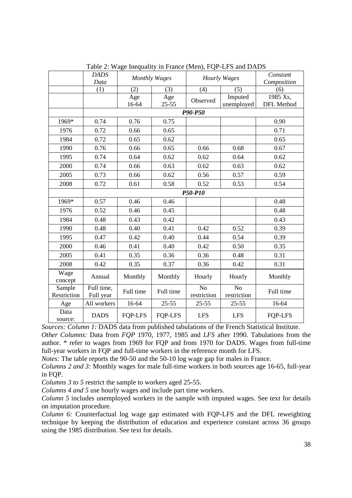|                 | <b>DADS</b> | <b>Monthly Wages</b> |                | <b>Hourly Wages</b> |                | Constant       |  |
|-----------------|-------------|----------------------|----------------|---------------------|----------------|----------------|--|
|                 | Data        |                      |                |                     |                | Composition    |  |
|                 | (1)         | (2)                  | (3)            | (4)                 | (5)            | (6)            |  |
|                 |             | Age                  | Age            | Observed            | Imputed        | 1985 Xs,       |  |
|                 |             | 16-64                | $25 - 55$      |                     | unemployed     | DFL Method     |  |
|                 |             |                      |                | P90-P50             |                |                |  |
| 1969*           | 0.74        | 0.76                 | 0.75           |                     |                | 0.90           |  |
| 1976            | 0.72        | 0.66                 | 0.65           |                     |                | 0.71           |  |
| 1984            | 0.72        | 0.65                 | 0.62           |                     |                | 0.65           |  |
| 1990            | 0.76        | 0.66                 | 0.65           | 0.66                | 0.68           | 0.67           |  |
| 1995            | 0.74        | 0.64                 | 0.62           | 0.62                | 0.64           | 0.62           |  |
| 2000            | 0.74        | 0.66                 | 0.63           | 0.62                | 0.63           | 0.62           |  |
| 2005            | 0.73        | 0.66                 | 0.62           | 0.56                | 0.57           | 0.59           |  |
| 2008            | 0.72        | 0.61                 | 0.58           | 0.52                | 0.53           | 0.54           |  |
|                 |             |                      |                |                     |                |                |  |
| 1969*           | 0.57        | 0.46                 | 0.46           |                     |                | 0.48           |  |
| 1976            | 0.52        | 0.46                 | 0.45           |                     |                | 0.48           |  |
| 1984            | 0.48        | 0.43                 | 0.42           |                     |                | 0.43           |  |
| 1990            | 0.48        | 0.40                 | 0.41           | 0.42                | 0.52           | 0.39           |  |
| 1995            | 0.47        | 0.42                 | 0.40           | 0.44                | 0.54           | 0.39           |  |
| 2000            | 0.46        | 0.41                 | 0.40           | 0.42                | 0.50           | 0.35           |  |
| 2005            | 0.41        | 0.35                 | 0.36           | 0.36                | 0.48           | 0.31           |  |
| 2008            | 0.42        | 0.35                 | 0.37           | 0.36                | 0.42           | 0.31           |  |
| Wage            | Annual      | Monthly              | Monthly        | Hourly              | Hourly         | Monthly        |  |
| concept         |             |                      |                |                     |                |                |  |
| Sample          | Full time,  | Full time            | Full time      | N <sub>o</sub>      | N <sub>o</sub> | Full time      |  |
| Restriction     | Full year   |                      |                | restriction         | restriction    |                |  |
| Age             | All workers | 16-64                | $25 - 55$      | $25 - 55$           | $25 - 55$      | 16-64          |  |
| Data<br>source: | <b>DADS</b> | <b>FQP-LFS</b>       | <b>FQP-LFS</b> | <b>LFS</b>          | <b>LFS</b>     | <b>FQP-LFS</b> |  |

Table 2: Wage Inequality in France (Men), FQP-LFS and DADS

*Sources: Column 1:* DADS data from published tabulations of the French Statistical Institute. *Other Columns:* Data from *FQP* 1970, 1977, 1985 and *LFS* after 1990. Tabulations from the author. \* refer to wages from 1969 for FQP and from 1970 for DADS. Wages from full-time full-year workers in FQP and full-time workers in the reference month for LFS.

*Notes:* The table reports the 90-50 and the 50-10 log wage gap for males in France.

*Columns 2 and 3:* Monthly wages for male full-time workers in both sources age 16-65, full-year in FQP.

*Columns 3 to 5* restrict the sample to workers aged 25-55.

*Columns 4 and 5* use hourly wages and include part time workers.

*Column 5* includes unemployed workers in the sample with imputed wages. See text for details on imputation procedure.

*Column 6:* Counterfactual log wage gap estimated with FQP-LFS and the DFL reweighting technique by keeping the distribution of education and experience constant across 36 groups using the 1985 distribution. See text for details.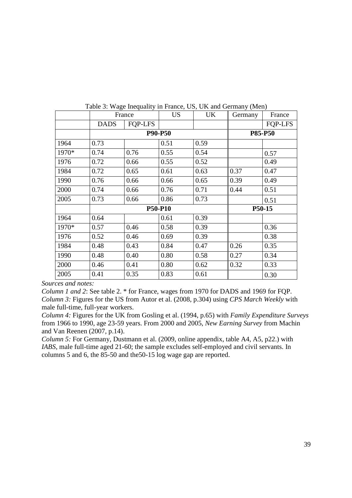|       | France      |                | <b>US</b>      | UK   | Germany        | France         |  |
|-------|-------------|----------------|----------------|------|----------------|----------------|--|
|       | <b>DADS</b> | <b>FOP-LFS</b> |                |      |                | <b>FOP-LFS</b> |  |
|       |             |                | <b>P90-P50</b> |      | <b>P85-P50</b> |                |  |
| 1964  | 0.73        |                | 0.51           | 0.59 |                |                |  |
| 1970* | 0.74        | 0.76           | 0.55           | 0.54 |                | 0.57           |  |
| 1976  | 0.72        | 0.66           | 0.55           | 0.52 |                | 0.49           |  |
| 1984  | 0.72        | 0.65           | 0.61           | 0.63 | 0.37           | 0.47           |  |
| 1990  | 0.76        | 0.66           | 0.66           | 0.65 | 0.39           | 0.49           |  |
| 2000  | 0.74        | 0.66           | 0.76           | 0.71 | 0.44           | 0.51           |  |
| 2005  | 0.73        | 0.66           | 0.86           | 0.73 |                | 0.51           |  |
|       |             |                | <b>P50-P10</b> |      | P50-15         |                |  |
| 1964  | 0.64        |                | 0.61           | 0.39 |                |                |  |
| 1970* | 0.57        | 0.46           | 0.58           | 0.39 |                | 0.36           |  |
| 1976  | 0.52        | 0.46           | 0.69           | 0.39 |                | 0.38           |  |
| 1984  | 0.48        | 0.43           | 0.84           | 0.47 | 0.26           | 0.35           |  |
| 1990  | 0.48        | 0.40           | 0.80           | 0.58 | 0.27           | 0.34           |  |
| 2000  | 0.46        | 0.41           | 0.80           | 0.62 | 0.32           | 0.33           |  |
| 2005  | 0.41        | 0.35           | 0.83           | 0.61 |                | 0.30           |  |

Table 3: Wage Inequality in France, US, UK and Germany (Men)

*Sources and notes:*

*Column 1 and 2*: See table 2. \* for France, wages from 1970 for DADS and 1969 for FQP. *Column 3:* Figures for the US from Autor et al. (2008, p.304) using *CPS March Weekly* with male full-time, full-year workers.

*Column 4:* Figures for the UK from Gosling et al. (1994, p.65) with *Family Expenditure Surveys* from 1966 to 1990, age 23-59 years. From 2000 and 2005, *New Earning Survey* from Machin and Van Reenen (2007, p.14).

*Column 5:* For Germany, Dustmann et al. (2009, online appendix, table A4, A5, p22.) with *IABS*, male full-time aged 21-60; the sample excludes self-employed and civil servants. In columns 5 and 6, the 85-50 and the50-15 log wage gap are reported.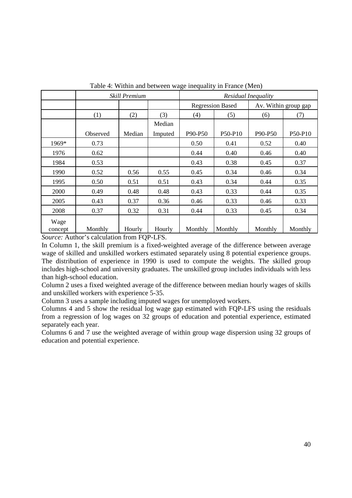|                 |                                                                                                                                                                              | Skill Premium |         | Residual Inequality     |         |                      |         |
|-----------------|------------------------------------------------------------------------------------------------------------------------------------------------------------------------------|---------------|---------|-------------------------|---------|----------------------|---------|
|                 |                                                                                                                                                                              |               |         | <b>Regression Based</b> |         | Av. Within group gap |         |
|                 | (1)                                                                                                                                                                          | (2)           | (3)     | (4)                     | (5)     | (6)                  | (7)     |
|                 |                                                                                                                                                                              |               | Median  |                         |         |                      |         |
|                 | Observed                                                                                                                                                                     | Median        | Imputed | P90-P50                 | P50-P10 | P90-P50              | P50-P10 |
| 1969*           | 0.73                                                                                                                                                                         |               |         | 0.50                    | 0.41    | 0.52                 | 0.40    |
| 1976            | 0.62                                                                                                                                                                         |               |         | 0.44                    | 0.40    | 0.46                 | 0.40    |
| 1984            | 0.53                                                                                                                                                                         |               |         | 0.43                    | 0.38    | 0.45                 | 0.37    |
| 1990            | 0.52                                                                                                                                                                         | 0.56          | 0.55    | 0.45                    | 0.34    | 0.46                 | 0.34    |
| 1995            | 0.50                                                                                                                                                                         | 0.51          | 0.51    | 0.43                    | 0.34    | 0.44                 | 0.35    |
| 2000            | 0.49                                                                                                                                                                         | 0.48          | 0.48    | 0.43                    | 0.33    | 0.44                 | 0.35    |
| 2005            | 0.43                                                                                                                                                                         | 0.37          | 0.36    | 0.46                    | 0.33    | 0.46                 | 0.33    |
| 2008            | 0.37                                                                                                                                                                         | 0.32          | 0.31    | 0.44                    | 0.33    | 0.45                 | 0.34    |
| Wage<br>concept | Monthly<br>$C_{\text{c}}$ $\cdots$ $A_{\text{ref}}$ $A_{\text{ref}}$ $\cdots$ $A_{\text{ref}}$ $\cdots$ $A_{\text{ref}}$ $\cdots$ $A_{\text{ref}}$ $\cdots$ $A_{\text{ref}}$ | Hourly        | Hourly  | Monthly                 | Monthly | Monthly              | Monthly |

Table 4: Within and between wage inequality in France (Men)

*Source:* Author's calculation from FOP-LFS.

In Column 1, the skill premium is a fixed-weighted average of the difference between average wage of skilled and unskilled workers estimated separately using 8 potential experience groups. The distribution of experience in 1990 is used to compute the weights. The skilled group includes high-school and university graduates. The unskilled group includes individuals with less than high-school education.

Column 2 uses a fixed weighted average of the difference between median hourly wages of skills and unskilled workers with experience 5-35.

Column 3 uses a sample including imputed wages for unemployed workers.

Columns 4 and 5 show the residual log wage gap estimated with FQP-LFS using the residuals from a regression of log wages on 32 groups of education and potential experience, estimated separately each year.

Columns 6 and 7 use the weighted average of within group wage dispersion using 32 groups of education and potential experience.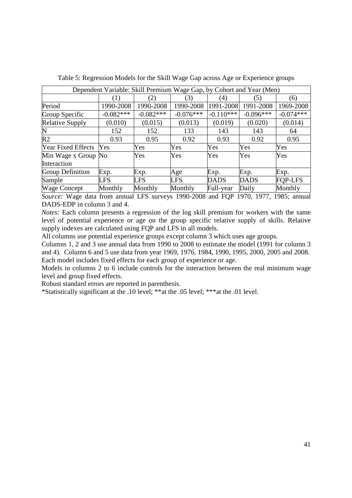| Dependent Variable: Skill Premium Wage Gap, by Cohort and Year (Men) |             |             |             |                   |             |                |  |  |
|----------------------------------------------------------------------|-------------|-------------|-------------|-------------------|-------------|----------------|--|--|
|                                                                      |             | (2)         | (3)         | $\left( 4\right)$ | (5)         | (6)            |  |  |
| Period                                                               | 1990-2008   | 1990-2008   | 1990-2008   | 1991-2008         | 1991-2008   | 1969-2008      |  |  |
| Group Specific                                                       | $-0.082***$ | $-0.082***$ | $-0.076***$ | $-0.110***$       | $-0.096***$ | $-0.074***$    |  |  |
| <b>Relative Supply</b>                                               | (0.010)     | (0.015)     | (0.013)     | (0.019)           | (0.020)     | (0.014)        |  |  |
| N                                                                    | 152         | 152         | 133         | 143               | 143         | 64             |  |  |
| R <sub>2</sub>                                                       | 0.93        | 0.95        | 0.92        | 0.93              | 0.92        | 0.95           |  |  |
| <b>Year Fixed Effects</b>                                            | Yes         | Yes         | Yes         | Yes               | Yes         | Yes            |  |  |
| Min Wage x Group No                                                  |             | Yes         | Yes         | Yes               | Yes         | Yes            |  |  |
| Interaction                                                          |             |             |             |                   |             |                |  |  |
| <b>Group Definition</b>                                              | Exp.        | Exp.        | Age         | Exp.              | Exp.        | Exp.           |  |  |
| Sample                                                               | <b>LFS</b>  | <b>LFS</b>  | <b>LFS</b>  | <b>DADS</b>       | <b>DADS</b> | <b>FOP-LFS</b> |  |  |
| <b>Wage Concept</b>                                                  | Monthly     | Monthly     | Monthly     | Full-year         | Daily       | Monthly        |  |  |

Table 5: Regression Models for the Skill Wage Gap across Age or Experience groups

*Source:* Wage data from annual LFS surveys 1990-2008 and FQP 1970, 1977, 1985; annual DADS-EDP in column 3 and 4.

*Notes:* Each column presents a regression of the log skill premium for workers with the same level of potential experience or age on the group specific relative supply of skills. Relative supply indexes are calculated using FQP and LFS in all models.

All columns use potential experience groups except column 3 which uses age groups.

Columns 1, 2 and 3 use annual data from 1990 to 2008 to estimate the model (1991 for column 3 and 4). Column 6 and 5 use data from year 1969, 1976, 1984, 1990, 1995, 2000, 2005 and 2008. Each model includes fixed effects for each group of experience or age.

Models in columns 2 to 6 include controls for the interaction between the real minimum wage level and group fixed effects.

Robust standard errors are reported in parenthesis.

\*Statistically significant at the .10 level; \*\*at the .05 level; \*\*\*at the .01 level.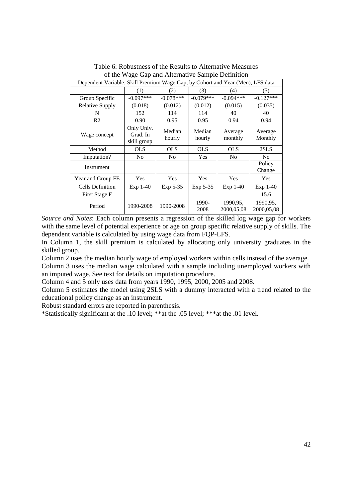| Dependent Variable: Skill Premium Wage Gap, by Cohort and Year (Men), LFS data |                                       |                  |                  |                         |                         |  |  |
|--------------------------------------------------------------------------------|---------------------------------------|------------------|------------------|-------------------------|-------------------------|--|--|
|                                                                                | (1)                                   | (2)              | (3)              | (4)                     | (5)                     |  |  |
| Group Specific                                                                 | $-0.097***$                           | $-0.078***$      | $-0.079***$      | $-0.094***$             | $-0.127***$             |  |  |
| <b>Relative Supply</b>                                                         | (0.018)                               | (0.012)          | (0.012)          | (0.015)                 | (0.035)                 |  |  |
| N                                                                              | 152                                   | 114              | 114              | 40                      | 40                      |  |  |
| R <sub>2</sub>                                                                 | 0.90                                  | 0.95             | 0.95             | 0.94                    | 0.94                    |  |  |
| Wage concept                                                                   | Only Univ.<br>Grad. In<br>skill group | Median<br>hourly | Median<br>hourly | Average<br>monthly      | Average<br>Monthly      |  |  |
| Method                                                                         | <b>OLS</b>                            | <b>OLS</b>       | <b>OLS</b>       | <b>OLS</b>              | 2SLS                    |  |  |
| Imputation?                                                                    | No                                    | N <sub>0</sub>   | Yes              | N <sub>0</sub>          | N <sub>0</sub>          |  |  |
| Instrument                                                                     |                                       |                  |                  |                         | Policy<br>Change        |  |  |
| Year and Group FE                                                              | <b>Yes</b>                            | Yes              | <b>Yes</b>       | <b>Yes</b>              | <b>Yes</b>              |  |  |
| <b>Cells Definition</b>                                                        | Exp 1-40                              | Exp 5-35         | Exp 5-35         | Exp 1-40                | $Exp 1-40$              |  |  |
| First Stage F                                                                  |                                       |                  |                  |                         | 15.6                    |  |  |
| Period                                                                         | 1990-2008                             | 1990-2008        | 1990-<br>2008    | 1990, 95,<br>2000,05,08 | 1990, 95,<br>2000,05,08 |  |  |

Table 6: Robustness of the Results to Alternative Measures of the Wage Gap and Alternative Sample Definition

*Source and Notes*: Each column presents a regression of the skilled log wage gap for workers with the same level of potential experience or age on group specific relative supply of skills. The dependent variable is calculated by using wage data from FQP-LFS.

In Column 1, the skill premium is calculated by allocating only university graduates in the skilled group.

Column 2 uses the median hourly wage of employed workers within cells instead of the average. Column 3 uses the median wage calculated with a sample including unemployed workers with an imputed wage. See text for details on imputation procedure.

Column 4 and 5 only uses data from years 1990, 1995, 2000, 2005 and 2008.

Column 5 estimates the model using 2SLS with a dummy interacted with a trend related to the educational policy change as an instrument.

Robust standard errors are reported in parenthesis.

\*Statistically significant at the .10 level; \*\*at the .05 level; \*\*\*at the .01 level.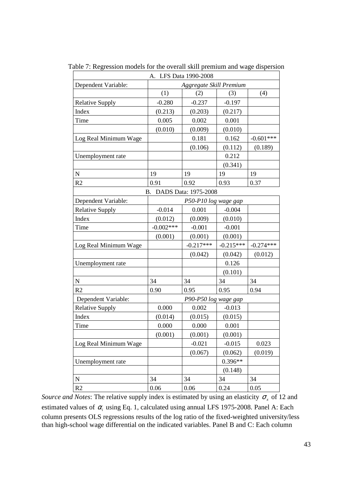|                        |             | A. LFS Data 1990-2008   |             |             |
|------------------------|-------------|-------------------------|-------------|-------------|
| Dependent Variable:    |             | Aggregate Skill Premium |             |             |
|                        | (1)         | (2)                     | (3)         | (4)         |
| <b>Relative Supply</b> | $-0.280$    | $-0.237$                | $-0.197$    |             |
| Index                  | (0.213)     | (0.203)                 | (0.217)     |             |
| Time                   | 0.005       | 0.002                   | 0.001       |             |
|                        | (0.010)     | (0.009)                 | (0.010)     |             |
| Log Real Minimum Wage  |             | 0.181                   | 0.162       | $-0.601***$ |
|                        |             | (0.106)                 | (0.112)     | (0.189)     |
| Unemployment rate      |             |                         | 0.212       |             |
|                        |             |                         | (0.341)     |             |
| N                      | 19          | 19                      | 19          | 19          |
| R2                     | 0.91        | 0.92                    | 0.93        | 0.37        |
|                        |             | B. DADS Data: 1975-2008 |             |             |
| Dependent Variable:    |             | P50-P10 log wage gap    |             |             |
| <b>Relative Supply</b> | $-0.014$    | 0.001                   | $-0.004$    |             |
| Index                  | (0.012)     | (0.009)                 | (0.010)     |             |
| Time                   | $-0.002***$ | $-0.001$                | $-0.001$    |             |
|                        | (0.001)     | (0.001)                 | (0.001)     |             |
| Log Real Minimum Wage  |             | $-0.217***$             | $-0.215***$ | $-0.274***$ |
|                        |             | (0.042)                 | (0.042)     | (0.012)     |
| Unemployment rate      |             |                         | 0.126       |             |
|                        |             |                         | (0.101)     |             |
| N                      | 34          | 34                      | 34          | 34          |
| R2                     | 0.90        | 0.95                    | 0.95        | 0.94        |
| Dependent Variable:    |             | P90-P50 log wage gap    |             |             |
| <b>Relative Supply</b> | 0.000       | 0.002                   | $-0.013$    |             |
| Index                  | (0.014)     | (0.015)                 | (0.015)     |             |
| Time                   | 0.000       | 0.000                   | 0.001       |             |
|                        | (0.001)     | (0.001)                 | (0.001)     |             |
| Log Real Minimum Wage  |             | $-0.021$                | $-0.015$    | 0.023       |
|                        |             | (0.067)                 | (0.062)     | (0.019)     |
| Unemployment rate      |             |                         | $0.396**$   |             |
|                        |             |                         | (0.148)     |             |
| ${\bf N}$              | 34          | 34                      | 34          | 34          |
| R <sub>2</sub>         | 0.06        | 0.06                    | 0.24        | 0.05        |

Table 7: Regression models for the overall skill premium and wage dispersion

*Source and Notes*: The relative supply index is estimated by using an elasticity  $\sigma_x$  of 12 and estimated values of  $\alpha$ <sub>i</sub> using Eq. 1, calculated using annual LFS 1975-2008. Panel A: Each column presents OLS regressions results of the log ratio of the fixed-weighted university/less than high-school wage differential on the indicated variables. Panel B and C: Each column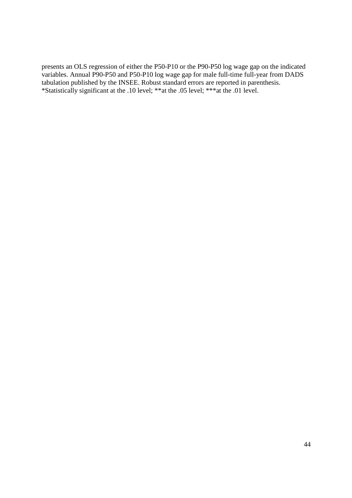presents an OLS regression of either the P50-P10 or the P90-P50 log wage gap on the indicated variables. Annual P90-P50 and P50-P10 log wage gap for male full-time full-year from DADS tabulation published by the INSEE. Robust standard errors are reported in parenthesis. \*Statistically significant at the .10 level; \*\*at the .05 level; \*\*\*at the .01 level.